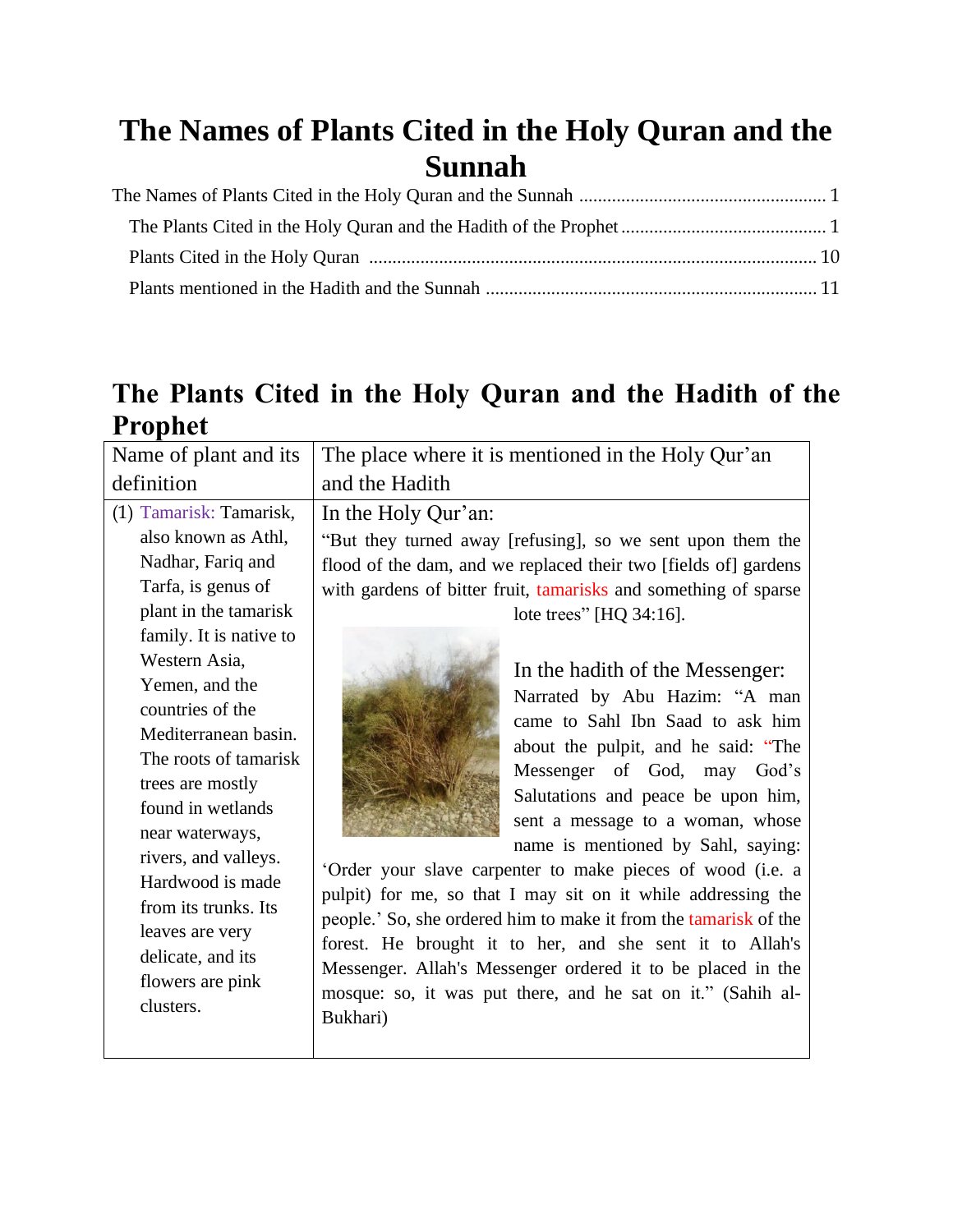## <span id="page-0-0"></span>**The Names of Plants Cited in the Holy Quran and the Sunnah**

## <span id="page-0-1"></span>**The Plants Cited in the Holy Quran and the Hadith of the Prophet**

| Name of plant and its   | The place where it is mentioned in the Holy Qur'an               |
|-------------------------|------------------------------------------------------------------|
| definition              | and the Hadith                                                   |
| (1) Tamarisk: Tamarisk, | In the Holy Qur'an:                                              |
| also known as Athl,     | "But they turned away [refusing], so we sent upon them the       |
| Nadhar, Fariq and       | flood of the dam, and we replaced their two [fields of] gardens  |
| Tarfa, is genus of      | with gardens of bitter fruit, tamarisks and something of sparse  |
| plant in the tamarisk   | lote trees" [HQ 34:16].                                          |
| family. It is native to |                                                                  |
| Western Asia,           | In the hadith of the Messenger:                                  |
| Yemen, and the          | Narrated by Abu Hazim: "A man                                    |
| countries of the        | came to Sahl Ibn Saad to ask him                                 |
| Mediterranean basin.    | about the pulpit, and he said: "The                              |
| The roots of tamarisk   | Messenger of God, may God's                                      |
| trees are mostly        | Salutations and peace be upon him,                               |
| found in wetlands       | sent a message to a woman, whose                                 |
| near waterways,         | name is mentioned by Sahl, saying:                               |
| rivers, and valleys.    | 'Order your slave carpenter to make pieces of wood (i.e. a       |
| Hardwood is made        | pulpit) for me, so that I may sit on it while addressing the     |
| from its trunks. Its    | people.' So, she ordered him to make it from the tamarisk of the |
| leaves are very         | forest. He brought it to her, and she sent it to Allah's         |
| delicate, and its       | Messenger. Allah's Messenger ordered it to be placed in the      |
| flowers are pink        | mosque: so, it was put there, and he sat on it." (Sahih al-      |
| clusters.               | Bukhari)                                                         |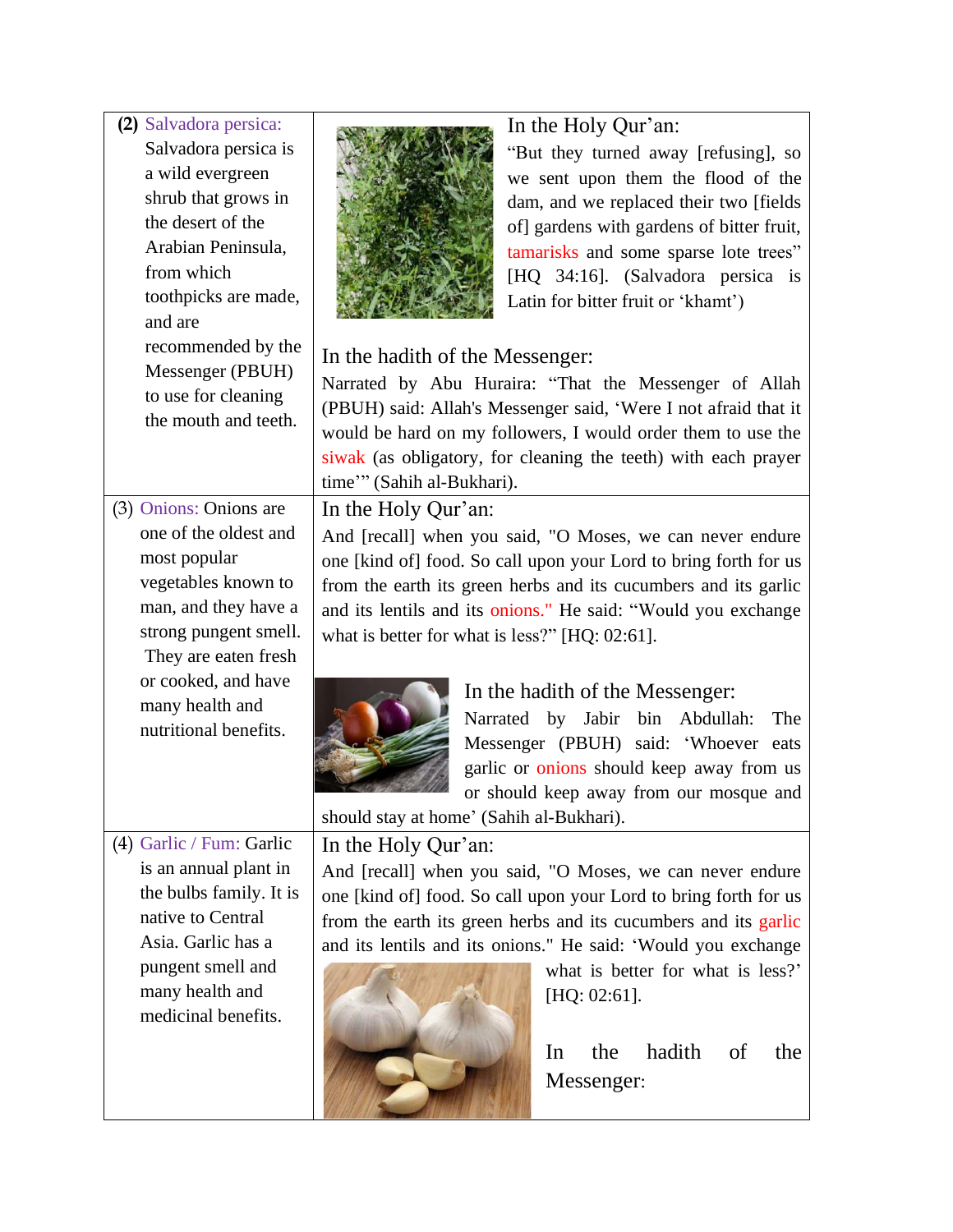| (2) Salvadora persica:   | In the Holy Qur'an:                                                                          |
|--------------------------|----------------------------------------------------------------------------------------------|
| Salvadora persica is     | "But they turned away [refusing], so                                                         |
| a wild evergreen         | we sent upon them the flood of the                                                           |
| shrub that grows in      | dam, and we replaced their two [fields                                                       |
| the desert of the        | of] gardens with gardens of bitter fruit,                                                    |
| Arabian Peninsula,       | tamarisks and some sparse lote trees"                                                        |
| from which               | [HQ 34:16]. (Salvadora persica is                                                            |
| toothpicks are made,     | Latin for bitter fruit or 'khamt')                                                           |
| and are                  |                                                                                              |
| recommended by the       | In the hadith of the Messenger:                                                              |
| Messenger (PBUH)         |                                                                                              |
| to use for cleaning      | Narrated by Abu Huraira: "That the Messenger of Allah                                        |
| the mouth and teeth.     | (PBUH) said: Allah's Messenger said, 'Were I not afraid that it                              |
|                          | would be hard on my followers, I would order them to use the                                 |
|                          | siwak (as obligatory, for cleaning the teeth) with each prayer<br>time"" (Sahih al-Bukhari). |
| (3) Onions: Onions are   |                                                                                              |
| one of the oldest and    | In the Holy Qur'an:                                                                          |
| most popular             | And [recall] when you said, "O Moses, we can never endure                                    |
| vegetables known to      | one [kind of] food. So call upon your Lord to bring forth for us                             |
| man, and they have a     | from the earth its green herbs and its cucumbers and its garlic                              |
| strong pungent smell.    | and its lentils and its onions." He said: "Would you exchange                                |
| They are eaten fresh     | what is better for what is less?" [HQ: 02:61].                                               |
| or cooked, and have      |                                                                                              |
| many health and          | In the hadith of the Messenger:                                                              |
| nutritional benefits.    | Narrated by Jabir bin Abdullah:<br>The                                                       |
|                          | Messenger (PBUH) said: 'Whoever eats                                                         |
|                          | garlic or onions should keep away from us                                                    |
|                          | or should keep away from our mosque and                                                      |
|                          | should stay at home' (Sahih al-Bukhari).                                                     |
| (4) Garlic / Fum: Garlic | In the Holy Qur'an:                                                                          |
| is an annual plant in    | And [recall] when you said, "O Moses, we can never endure                                    |
| the bulbs family. It is  | one [kind of] food. So call upon your Lord to bring forth for us                             |
| native to Central        | from the earth its green herbs and its cucumbers and its garlic                              |
| Asia. Garlic has a       | and its lentils and its onions." He said: 'Would you exchange                                |
| pungent smell and        | what is better for what is less?'                                                            |
| many health and          | $[HQ: 02:61]$ .                                                                              |
| medicinal benefits.      |                                                                                              |
|                          | hadith<br>In<br>the<br>of<br>the                                                             |
|                          | Messenger:                                                                                   |
|                          |                                                                                              |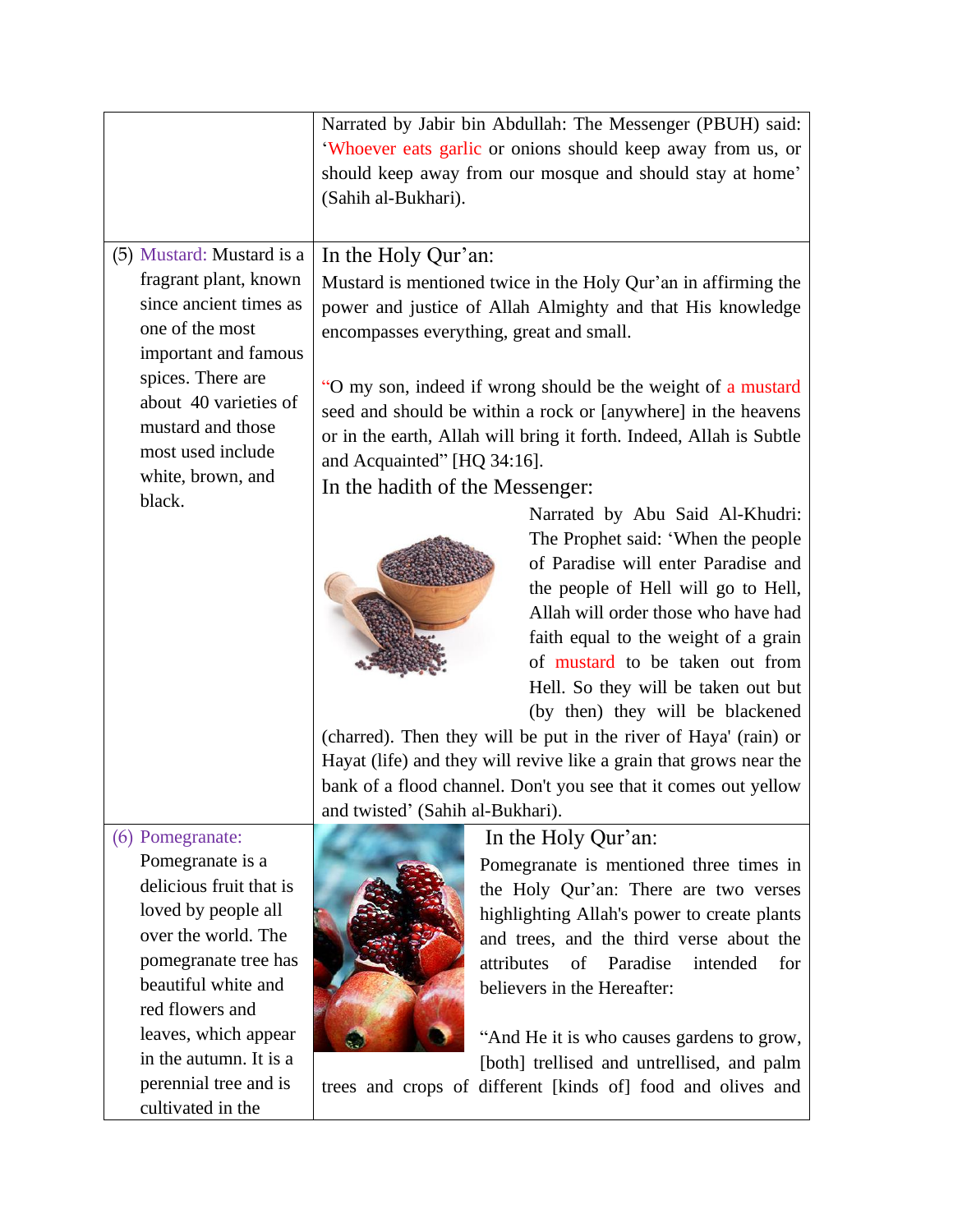|                                                                                                                                                                                                                                   | Narrated by Jabir bin Abdullah: The Messenger (PBUH) said:<br>'Whoever eats garlic or onions should keep away from us, or<br>should keep away from our mosque and should stay at home'                                                                                                                                                                                                                                                                                                                                                                                                                                                                              |
|-----------------------------------------------------------------------------------------------------------------------------------------------------------------------------------------------------------------------------------|---------------------------------------------------------------------------------------------------------------------------------------------------------------------------------------------------------------------------------------------------------------------------------------------------------------------------------------------------------------------------------------------------------------------------------------------------------------------------------------------------------------------------------------------------------------------------------------------------------------------------------------------------------------------|
|                                                                                                                                                                                                                                   | (Sahih al-Bukhari).                                                                                                                                                                                                                                                                                                                                                                                                                                                                                                                                                                                                                                                 |
| (5) Mustard: Mustard is a<br>fragrant plant, known<br>since ancient times as<br>one of the most<br>important and famous<br>spices. There are<br>about 40 varieties of<br>mustard and those<br>most used include                   | In the Holy Qur'an:<br>Mustard is mentioned twice in the Holy Qur'an in affirming the<br>power and justice of Allah Almighty and that His knowledge<br>encompasses everything, great and small.<br>"O my son, indeed if wrong should be the weight of a mustard<br>seed and should be within a rock or [anywhere] in the heavens<br>or in the earth, Allah will bring it forth. Indeed, Allah is Subtle                                                                                                                                                                                                                                                             |
| white, brown, and<br>black.                                                                                                                                                                                                       | and Acquainted" [HQ 34:16].<br>In the hadith of the Messenger:<br>Narrated by Abu Said Al-Khudri:<br>The Prophet said: 'When the people<br>of Paradise will enter Paradise and<br>the people of Hell will go to Hell,<br>Allah will order those who have had<br>faith equal to the weight of a grain<br>of mustard to be taken out from<br>Hell. So they will be taken out but<br>(by then) they will be blackened<br>(charred). Then they will be put in the river of Haya' (rain) or<br>Hayat (life) and they will revive like a grain that grows near the<br>bank of a flood channel. Don't you see that it comes out yellow<br>and twisted' (Sahih al-Bukhari). |
| (6) Pomegranate:<br>Pomegranate is a<br>delicious fruit that is<br>loved by people all<br>over the world. The<br>pomegranate tree has<br>beautiful white and<br>red flowers and<br>leaves, which appear<br>in the autumn. It is a | In the Holy Qur'an:<br>Pomegranate is mentioned three times in<br>the Holy Qur'an: There are two verses<br>highlighting Allah's power to create plants<br>and trees, and the third verse about the<br>attributes<br>of<br>Paradise<br>intended<br>for<br>believers in the Hereafter:<br>"And He it is who causes gardens to grow,<br>[both] trellised and untrellised, and palm                                                                                                                                                                                                                                                                                     |
| perennial tree and is<br>cultivated in the                                                                                                                                                                                        | trees and crops of different [kinds of] food and olives and                                                                                                                                                                                                                                                                                                                                                                                                                                                                                                                                                                                                         |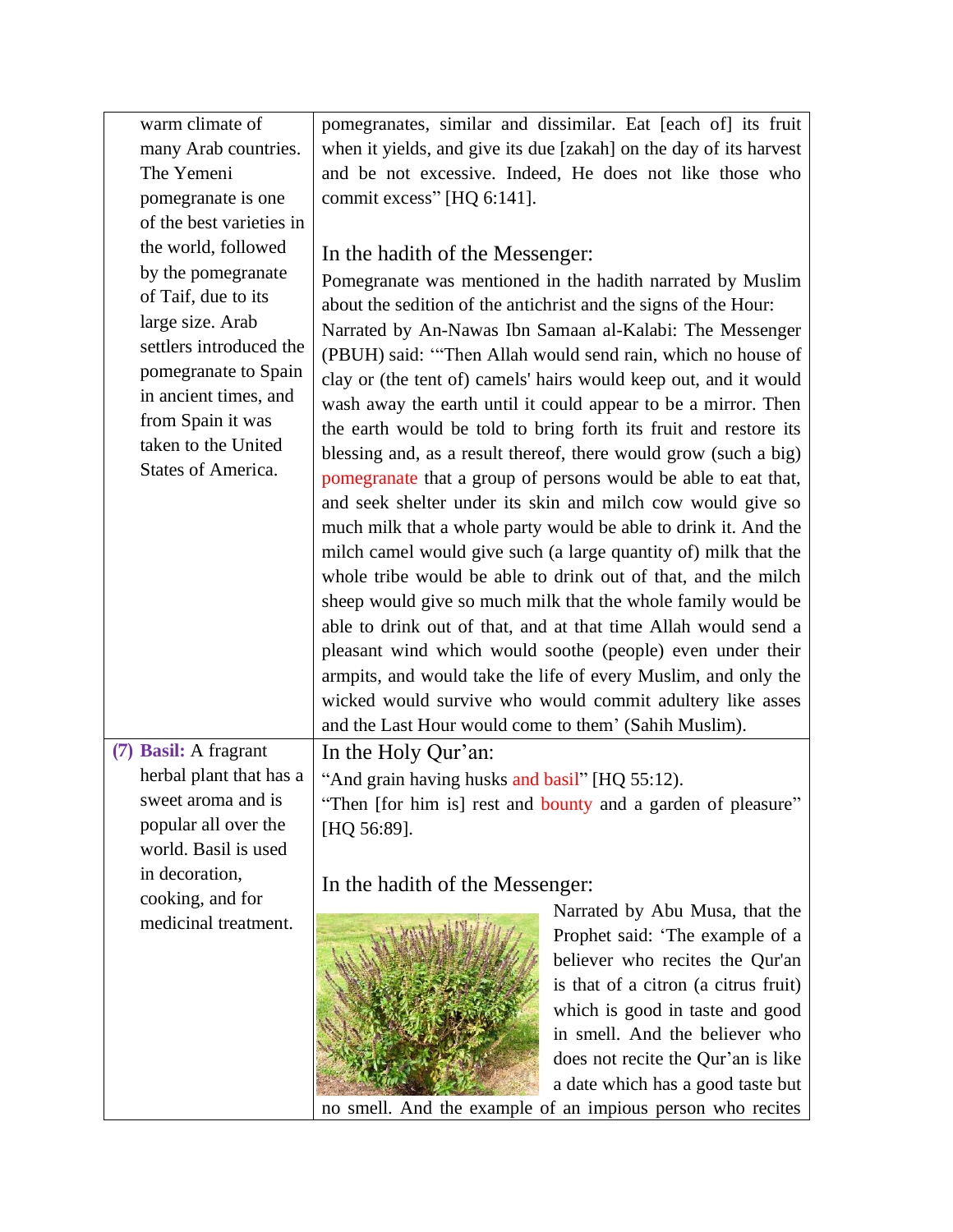| warm climate of          | pomegranates, similar and dissimilar. Eat [each of] its fruit      |
|--------------------------|--------------------------------------------------------------------|
| many Arab countries.     | when it yields, and give its due [zakah] on the day of its harvest |
| The Yemeni               | and be not excessive. Indeed, He does not like those who           |
| pomegranate is one       | commit excess" [HQ 6:141].                                         |
| of the best varieties in |                                                                    |
| the world, followed      |                                                                    |
| by the pomegranate       | In the hadith of the Messenger:                                    |
| of Taif, due to its      | Pomegranate was mentioned in the hadith narrated by Muslim         |
| large size. Arab         | about the sedition of the antichrist and the signs of the Hour:    |
| settlers introduced the  | Narrated by An-Nawas Ibn Samaan al-Kalabi: The Messenger           |
| pomegranate to Spain     | (PBUH) said: "Then Allah would send rain, which no house of        |
| in ancient times, and    | clay or (the tent of) camels' hairs would keep out, and it would   |
| from Spain it was        | wash away the earth until it could appear to be a mirror. Then     |
| taken to the United      | the earth would be told to bring forth its fruit and restore its   |
| States of America.       | blessing and, as a result thereof, there would grow (such a big)   |
|                          | pomegranate that a group of persons would be able to eat that,     |
|                          | and seek shelter under its skin and milch cow would give so        |
|                          | much milk that a whole party would be able to drink it. And the    |
|                          | milch camel would give such (a large quantity of) milk that the    |
|                          | whole tribe would be able to drink out of that, and the milch      |
|                          | sheep would give so much milk that the whole family would be       |
|                          | able to drink out of that, and at that time Allah would send a     |
|                          | pleasant wind which would soothe (people) even under their         |
|                          | armpits, and would take the life of every Muslim, and only the     |
|                          | wicked would survive who would commit adultery like asses          |
|                          | and the Last Hour would come to them' (Sahih Muslim).              |
| (7) Basil: A fragrant    | In the Holy Qur'an:                                                |
| herbal plant that has a  | "And grain having husks and basil" [HQ 55:12).                     |
| sweet aroma and is       | "Then [for him is] rest and bounty and a garden of pleasure"       |
| popular all over the     | [HQ 56:89].                                                        |
| world. Basil is used     |                                                                    |
| in decoration,           | In the hadith of the Messenger:                                    |
| cooking, and for         | Narrated by Abu Musa, that the                                     |
| medicinal treatment.     | Prophet said: 'The example of a                                    |
|                          | believer who recites the Qur'an                                    |
|                          | is that of a citron (a citrus fruit)                               |
|                          | which is good in taste and good                                    |
|                          | in smell. And the believer who                                     |
|                          | does not recite the Qur'an is like                                 |
|                          | a date which has a good taste but                                  |
|                          | no smell. And the example of an impious person who recites         |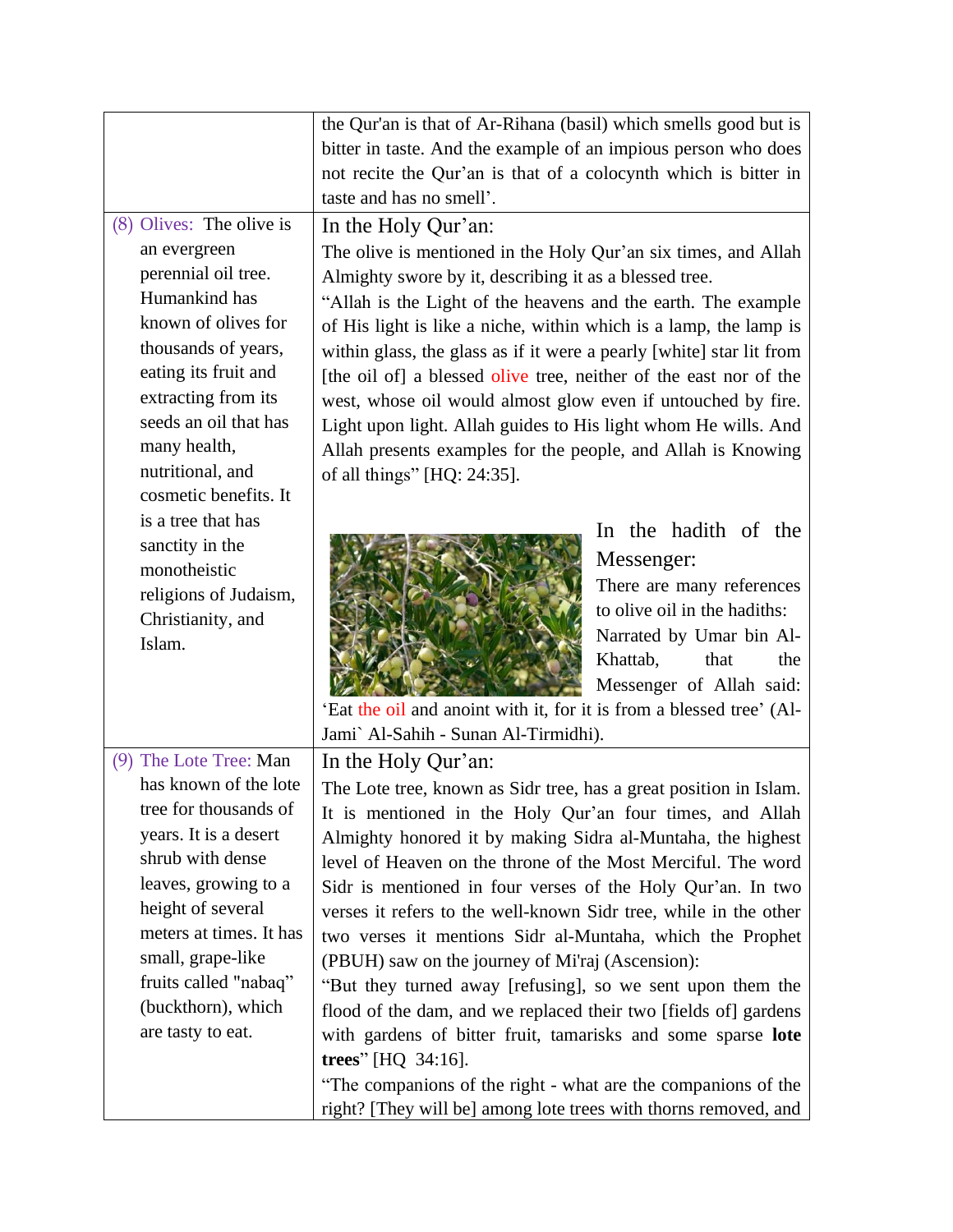|                          | the Qur'an is that of Ar-Rihana (basil) which smells good but is     |
|--------------------------|----------------------------------------------------------------------|
|                          | bitter in taste. And the example of an impious person who does       |
|                          | not recite the Qur'an is that of a colocynth which is bitter in      |
|                          | taste and has no smell'.                                             |
| (8) Olives: The olive is | In the Holy Qur'an:                                                  |
| an evergreen             | The olive is mentioned in the Holy Qur'an six times, and Allah       |
| perennial oil tree.      | Almighty swore by it, describing it as a blessed tree.               |
| Humankind has            | "Allah is the Light of the heavens and the earth. The example        |
| known of olives for      | of His light is like a niche, within which is a lamp, the lamp is    |
| thousands of years,      | within glass, the glass as if it were a pearly [white] star lit from |
| eating its fruit and     | [the oil of] a blessed olive tree, neither of the east nor of the    |
| extracting from its      | west, whose oil would almost glow even if untouched by fire.         |
| seeds an oil that has    | Light upon light. Allah guides to His light whom He wills. And       |
| many health,             | Allah presents examples for the people, and Allah is Knowing         |
| nutritional, and         | of all things" [HQ: 24:35].                                          |
| cosmetic benefits. It    |                                                                      |
| is a tree that has       | In the hadith of the                                                 |
| sanctity in the          | Messenger:                                                           |
| monotheistic             |                                                                      |
| religions of Judaism,    | There are many references<br>to olive oil in the hadiths:            |
| Christianity, and        | Narrated by Umar bin Al-                                             |
| Islam.                   | Khattab,<br>that<br>the                                              |
|                          | Messenger of Allah said:                                             |
|                          | 'Eat the oil and anoint with it, for it is from a blessed tree' (Al- |
|                          | Jami` Al-Sahih - Sunan Al-Tirmidhi).                                 |
| (9) The Lote Tree: Man   | In the Holy Qur'an:                                                  |
| has known of the lote    | The Lote tree, known as Sidr tree, has a great position in Islam.    |
| tree for thousands of    | It is mentioned in the Holy Qur'an four times, and Allah             |
| years. It is a desert    | Almighty honored it by making Sidra al-Muntaha, the highest          |
| shrub with dense         | level of Heaven on the throne of the Most Merciful. The word         |
| leaves, growing to a     | Sidr is mentioned in four verses of the Holy Qur'an. In two          |
| height of several        | verses it refers to the well-known Sidr tree, while in the other     |
| meters at times. It has  | two verses it mentions Sidr al-Muntaha, which the Prophet            |
| small, grape-like        | (PBUH) saw on the journey of Mi'raj (Ascension):                     |
| fruits called "nabaq"    | "But they turned away [refusing], so we sent upon them the           |
| (buckthorn), which       | flood of the dam, and we replaced their two [fields of] gardens      |
| are tasty to eat.        | with gardens of bitter fruit, tamarisks and some sparse lote         |
|                          | trees" [HQ 34:16].                                                   |
|                          | "The companions of the right - what are the companions of the        |
|                          | right? [They will be] among lote trees with thorns removed, and      |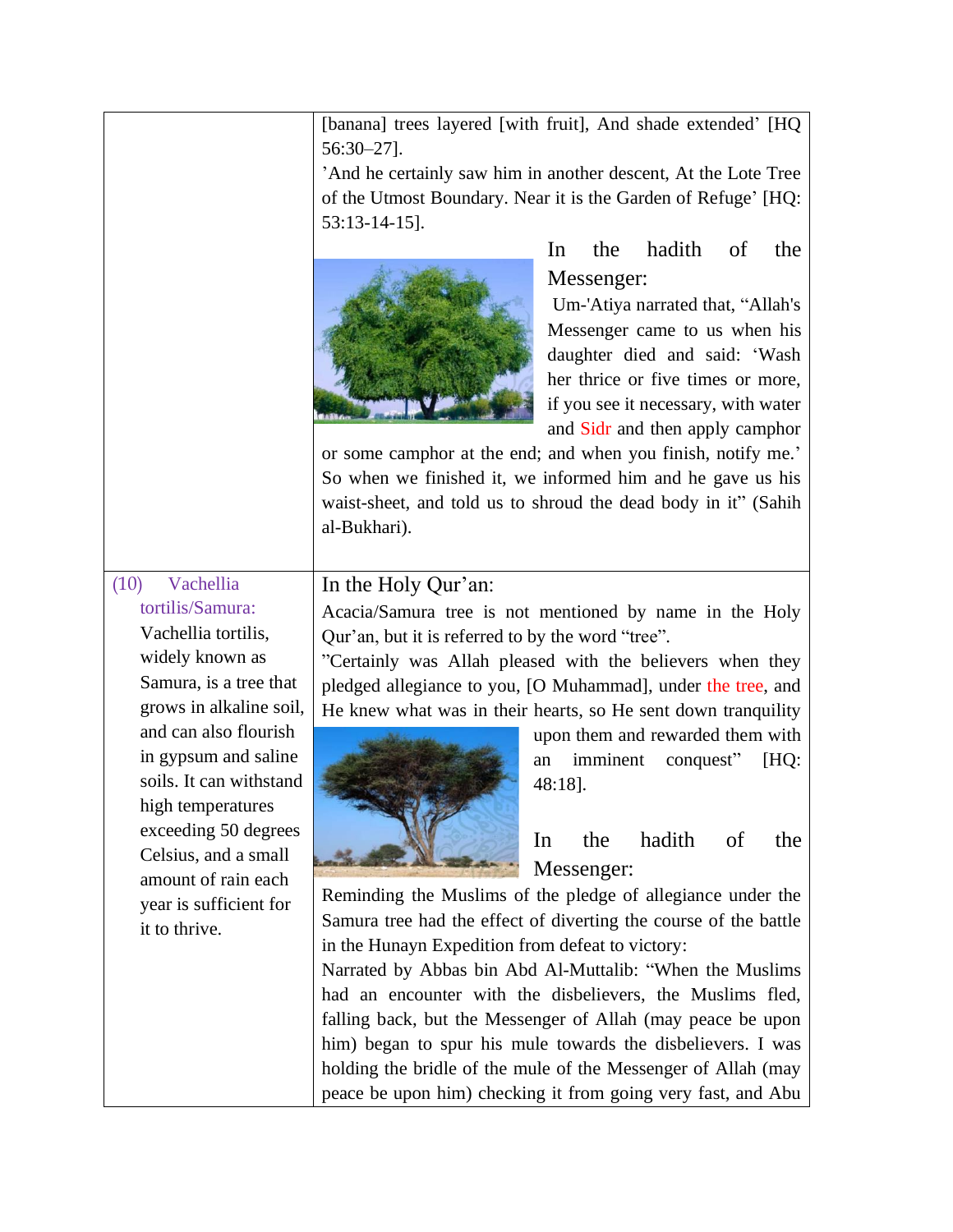[banana] trees layered [with fruit], And shade extended' [HQ 56:30–27].

'And he certainly saw him in another descent, At the Lote Tree of the Utmost Boundary. Near it is the Garden of Refuge' [HQ: 53:13-14-15].



In the hadith of the Messenger:

Um-'Atiya narrated that, "Allah's Messenger came to us when his daughter died and said: 'Wash her thrice or five times or more, if you see it necessary, with water and Sidr and then apply camphor

or some camphor at the end; and when you finish, notify me.' So when we finished it, we informed him and he gave us his waist-sheet, and told us to shroud the dead body in it" (Sahih al-Bukhari).

(10) Vachellia tortilis/Samura: Vachellia tortilis, widely known as Samura, is a tree that grows in alkaline soil, and can also flourish in gypsum and saline soils. It can withstand

high temperatures exceeding 50 degrees Celsius, and a small amount of rain each year is sufficient for

it to thrive.

#### In the Holy Qur'an:

Acacia/Samura tree is not mentioned by name in the Holy Qur'an, but it is referred to by the word "tree".

"Certainly was Allah pleased with the believers when they pledged allegiance to you, [O Muhammad], under the tree, and He knew what was in their hearts, so He sent down tranquility



upon them and rewarded them with an imminent conquest" [HQ: 48:18].

In the hadith of the Messenger:

Reminding the Muslims of the pledge of allegiance under the Samura tree had the effect of diverting the course of the battle in the Hunayn Expedition from defeat to victory:

Narrated by Abbas bin Abd Al-Muttalib: "When the Muslims had an encounter with the disbelievers, the Muslims fled, falling back, but the Messenger of Allah (may peace be upon him) began to spur his mule towards the disbelievers. I was holding the bridle of the mule of the Messenger of Allah (may peace be upon him) checking it from going very fast, and Abu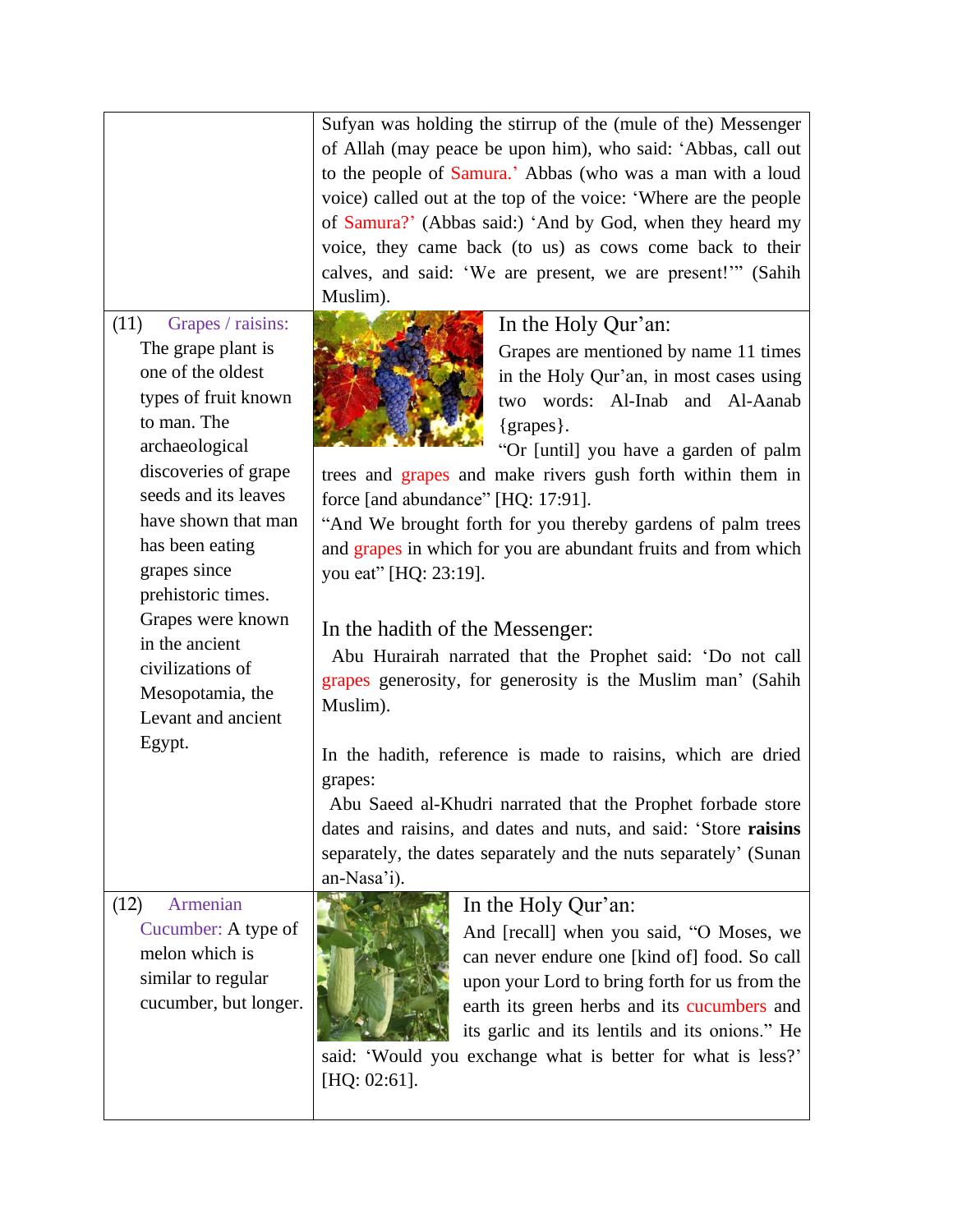|                                                                                                                                                                                                                                                               | Sufyan was holding the stirrup of the (mule of the) Messenger<br>of Allah (may peace be upon him), who said: 'Abbas, call out<br>to the people of Samura.' Abbas (who was a man with a loud<br>voice) called out at the top of the voice: 'Where are the people<br>of Samura?' (Abbas said:) 'And by God, when they heard my<br>voice, they came back (to us) as cows come back to their<br>calves, and said: 'We are present, we are present!'" (Sahih<br>Muslim).     |
|---------------------------------------------------------------------------------------------------------------------------------------------------------------------------------------------------------------------------------------------------------------|-------------------------------------------------------------------------------------------------------------------------------------------------------------------------------------------------------------------------------------------------------------------------------------------------------------------------------------------------------------------------------------------------------------------------------------------------------------------------|
| Grapes / raisins:<br>(11)<br>The grape plant is<br>one of the oldest<br>types of fruit known<br>to man. The<br>archaeological<br>discoveries of grape<br>seeds and its leaves<br>have shown that man<br>has been eating<br>grapes since<br>prehistoric times. | In the Holy Qur'an:<br>Grapes are mentioned by name 11 times<br>in the Holy Qur'an, in most cases using<br>two words: Al-Inab and Al-Aanab<br>{grapes}.<br>"Or [until] you have a garden of palm<br>trees and grapes and make rivers gush forth within them in<br>force [and abundance" [HQ: 17:91].<br>"And We brought forth for you thereby gardens of palm trees<br>and grapes in which for you are abundant fruits and from which<br>you eat" [HQ: 23:19].          |
| Grapes were known<br>in the ancient<br>civilizations of<br>Mesopotamia, the<br>Levant and ancient<br>Egypt.                                                                                                                                                   | In the hadith of the Messenger:<br>Abu Hurairah narrated that the Prophet said: 'Do not call<br>grapes generosity, for generosity is the Muslim man' (Sahih<br>Muslim).<br>In the hadith, reference is made to raisins, which are dried<br>grapes:<br>Abu Saeed al-Khudri narrated that the Prophet forbade store<br>dates and raisins, and dates and nuts, and said: 'Store raisins<br>separately, the dates separately and the nuts separately' (Sunan<br>an-Nasa'i). |
| Armenian<br>(12)<br>Cucumber: A type of<br>melon which is<br>similar to regular<br>cucumber, but longer.                                                                                                                                                      | In the Holy Qur'an:<br>And [recall] when you said, "O Moses, we<br>can never endure one [kind of] food. So call<br>upon your Lord to bring forth for us from the<br>earth its green herbs and its cucumbers and<br>its garlic and its lentils and its onions." He<br>said: 'Would you exchange what is better for what is less?'<br>[HQ: 02:61].                                                                                                                        |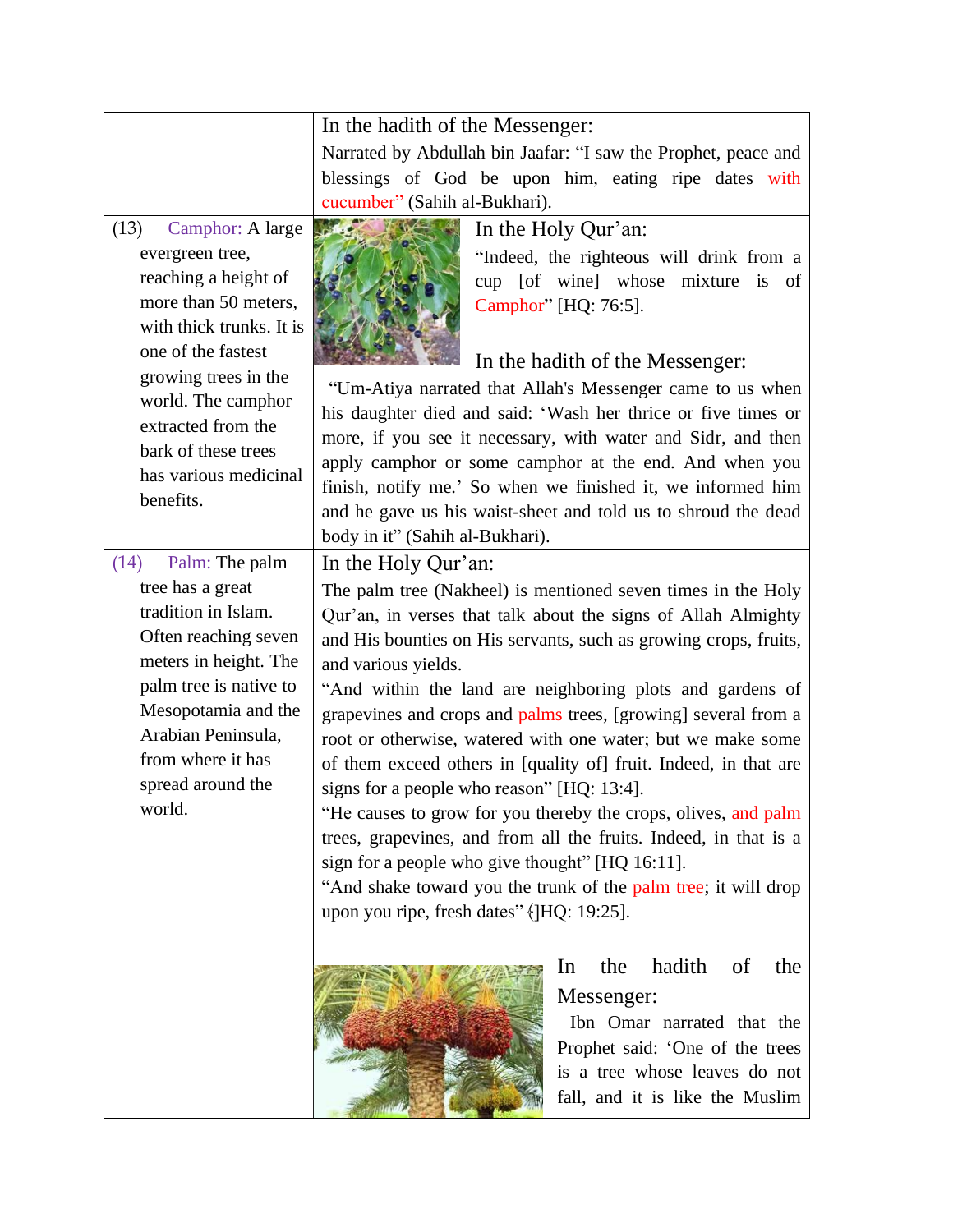|                          | In the hadith of the Messenger:                                  |
|--------------------------|------------------------------------------------------------------|
|                          | Narrated by Abdullah bin Jaafar: "I saw the Prophet, peace and   |
|                          | blessings of God be upon him, eating ripe dates with             |
|                          | cucumber" (Sahih al-Bukhari).                                    |
| Camphor: A large<br>(13) | In the Holy Qur'an:                                              |
| evergreen tree,          | "Indeed, the righteous will drink from a                         |
| reaching a height of     | cup [of wine] whose mixture is<br>of                             |
| more than 50 meters,     | Camphor" [HQ: 76:5].                                             |
| with thick trunks. It is |                                                                  |
| one of the fastest       | In the hadith of the Messenger:                                  |
| growing trees in the     | "Um-Atiya narrated that Allah's Messenger came to us when        |
| world. The camphor       | his daughter died and said: 'Wash her thrice or five times or    |
| extracted from the       | more, if you see it necessary, with water and Sidr, and then     |
| bark of these trees      | apply camphor or some camphor at the end. And when you           |
| has various medicinal    | finish, notify me.' So when we finished it, we informed him      |
| benefits.                | and he gave us his waist-sheet and told us to shroud the dead    |
|                          | body in it" (Sahih al-Bukhari).                                  |
| Palm: The palm<br>(14)   | In the Holy Qur'an:                                              |
| tree has a great         | The palm tree (Nakheel) is mentioned seven times in the Holy     |
| tradition in Islam.      | Qur'an, in verses that talk about the signs of Allah Almighty    |
| Often reaching seven     | and His bounties on His servants, such as growing crops, fruits, |
| meters in height. The    | and various yields.                                              |
| palm tree is native to   | "And within the land are neighboring plots and gardens of        |
| Mesopotamia and the      | grapevines and crops and palms trees, [growing] several from a   |
| Arabian Peninsula,       | root or otherwise, watered with one water; but we make some      |
| from where it has        | of them exceed others in [quality of] fruit. Indeed, in that are |
| spread around the        | signs for a people who reason" [HQ: 13:4].                       |
| world.                   | "He causes to grow for you thereby the crops, olives, and palm   |
|                          | trees, grapevines, and from all the fruits. Indeed, in that is a |
|                          | sign for a people who give thought" [HQ 16:11].                  |
|                          | "And shake toward you the trunk of the palm tree; it will drop   |
|                          | upon you ripe, fresh dates" ([HQ: 19:25].                        |
|                          |                                                                  |
|                          | In<br>the<br>hadith<br>- of<br>the                               |
|                          | Messenger:                                                       |
|                          | Ibn Omar narrated that the                                       |
|                          | Prophet said: 'One of the trees                                  |
|                          | is a tree whose leaves do not                                    |
|                          | fall, and it is like the Muslim                                  |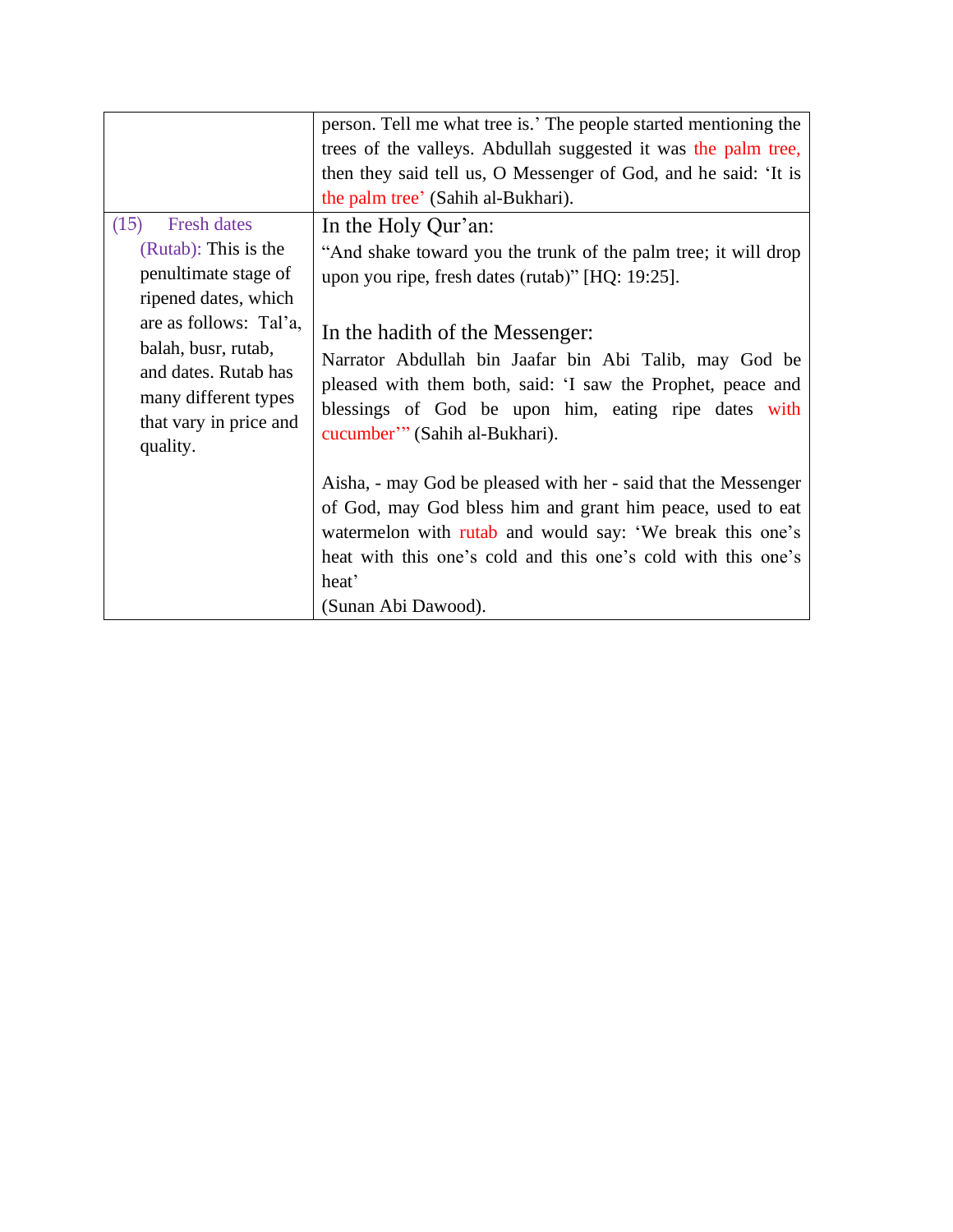|                                                                                                                                                             | person. Tell me what tree is.' The people started mentioning the                                                                                                                                                                                  |
|-------------------------------------------------------------------------------------------------------------------------------------------------------------|---------------------------------------------------------------------------------------------------------------------------------------------------------------------------------------------------------------------------------------------------|
|                                                                                                                                                             | trees of the valleys. Abdullah suggested it was the palm tree,                                                                                                                                                                                    |
|                                                                                                                                                             | then they said tell us, O Messenger of God, and he said: 'It is                                                                                                                                                                                   |
|                                                                                                                                                             | the palm tree' (Sahih al-Bukhari).                                                                                                                                                                                                                |
| (15)<br><b>Fresh dates</b><br>(Rutab): This is the                                                                                                          | In the Holy Qur'an:                                                                                                                                                                                                                               |
|                                                                                                                                                             | "And shake toward you the trunk of the palm tree; it will drop                                                                                                                                                                                    |
| penultimate stage of                                                                                                                                        | upon you ripe, fresh dates (rutab)" [HQ: 19:25].                                                                                                                                                                                                  |
| ripened dates, which<br>are as follows: Tal'a,<br>balah, busr, rutab,<br>and dates. Rutab has<br>many different types<br>that vary in price and<br>quality. | In the hadith of the Messenger:<br>Narrator Abdullah bin Jaafar bin Abi Talib, may God be<br>pleased with them both, said: 'I saw the Prophet, peace and<br>blessings of God be upon him, eating ripe dates with<br>cucumber" (Sahih al-Bukhari). |
|                                                                                                                                                             | Aisha, - may God be pleased with her - said that the Messenger<br>of God, may God bless him and grant him peace, used to eat<br>watermelon with rutab and would say: 'We break this one's                                                         |
|                                                                                                                                                             | heat with this one's cold and this one's cold with this one's                                                                                                                                                                                     |
|                                                                                                                                                             | heat'                                                                                                                                                                                                                                             |
|                                                                                                                                                             | (Sunan Abi Dawood).                                                                                                                                                                                                                               |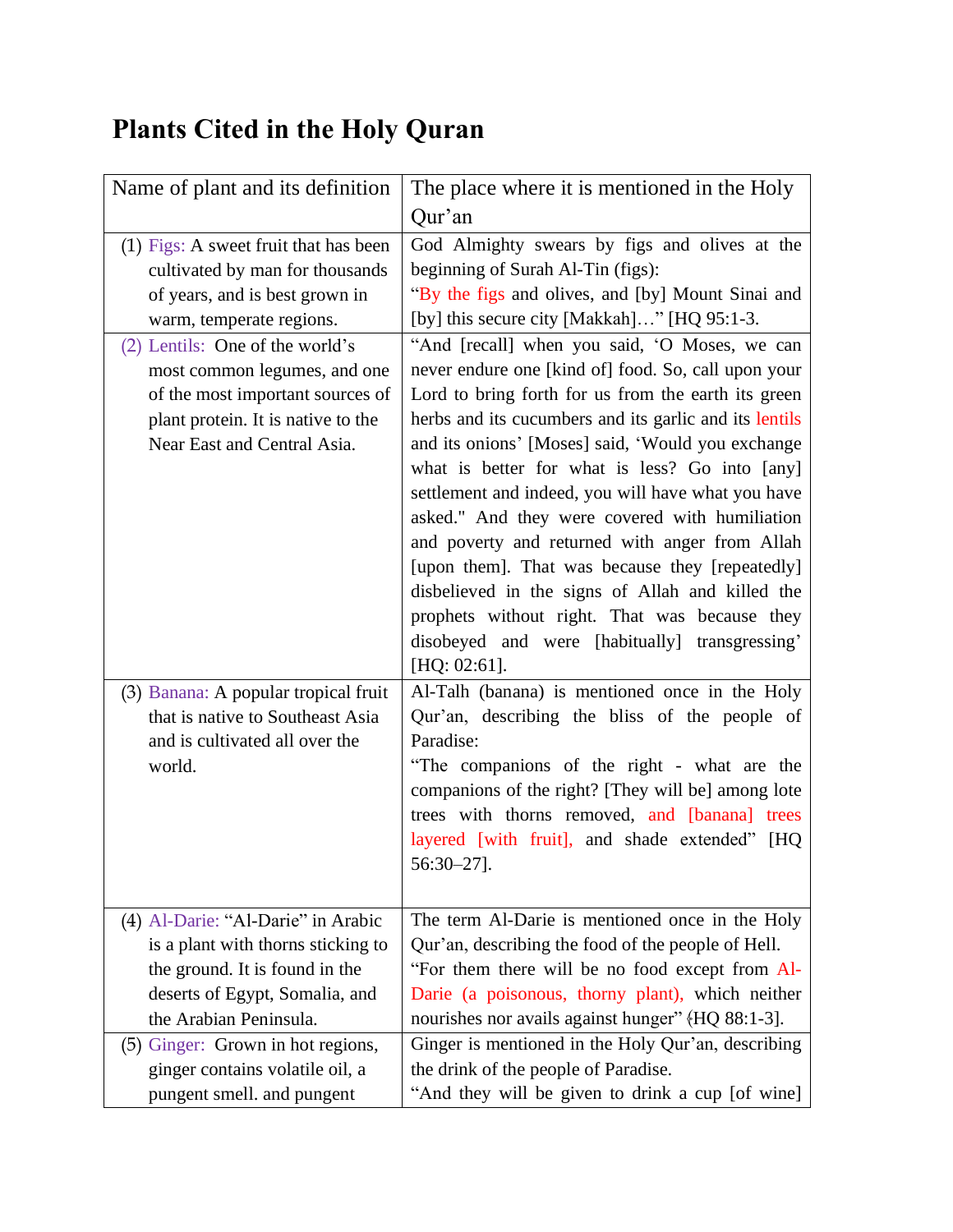# <span id="page-9-0"></span>**Plants Cited in the Holy Quran**

| Name of plant and its definition        | The place where it is mentioned in the Holy            |
|-----------------------------------------|--------------------------------------------------------|
|                                         | Qur'an                                                 |
| $(1)$ Figs: A sweet fruit that has been | God Almighty swears by figs and olives at the          |
| cultivated by man for thousands         | beginning of Surah Al-Tin (figs):                      |
| of years, and is best grown in          | "By the figs and olives, and [by] Mount Sinai and      |
| warm, temperate regions.                | [by] this secure city [Makkah]" [HQ 95:1-3.            |
| (2) Lentils: One of the world's         | "And [recall] when you said, 'O Moses, we can          |
| most common legumes, and one            | never endure one [kind of] food. So, call upon your    |
| of the most important sources of        | Lord to bring forth for us from the earth its green    |
| plant protein. It is native to the      | herbs and its cucumbers and its garlic and its lentils |
| Near East and Central Asia.             | and its onions' [Moses] said, 'Would you exchange      |
|                                         | what is better for what is less? Go into [any]         |
|                                         | settlement and indeed, you will have what you have     |
|                                         | asked." And they were covered with humiliation         |
|                                         | and poverty and returned with anger from Allah         |
|                                         | [upon them]. That was because they [repeatedly]        |
|                                         | disbelieved in the signs of Allah and killed the       |
|                                         | prophets without right. That was because they          |
|                                         | disobeyed and were [habitually] transgressing'         |
|                                         | $[HQ: 02:61]$ .                                        |
| (3) Banana: A popular tropical fruit    | Al-Talh (banana) is mentioned once in the Holy         |
| that is native to Southeast Asia        | Qur'an, describing the bliss of the people of          |
| and is cultivated all over the          | Paradise:                                              |
| world.                                  | "The companions of the right - what are the            |
|                                         | companions of the right? [They will be] among lote     |
|                                         | trees with thorns removed, and [banana] trees          |
|                                         | layered [with fruit], and shade extended" [HQ          |
|                                         | $56:30 - 27$ ].                                        |
|                                         |                                                        |
| (4) Al-Darie: "Al-Darie" in Arabic      | The term Al-Darie is mentioned once in the Holy        |
| is a plant with thorns sticking to      | Qur'an, describing the food of the people of Hell.     |
| the ground. It is found in the          | "For them there will be no food except from Al-        |
| deserts of Egypt, Somalia, and          | Darie (a poisonous, thorny plant), which neither       |
| the Arabian Peninsula.                  | nourishes nor avails against hunger" (HQ 88:1-3].      |
| (5) Ginger: Grown in hot regions,       | Ginger is mentioned in the Holy Qur'an, describing     |
| ginger contains volatile oil, a         | the drink of the people of Paradise.                   |
| pungent smell. and pungent              | "And they will be given to drink a cup [of wine]       |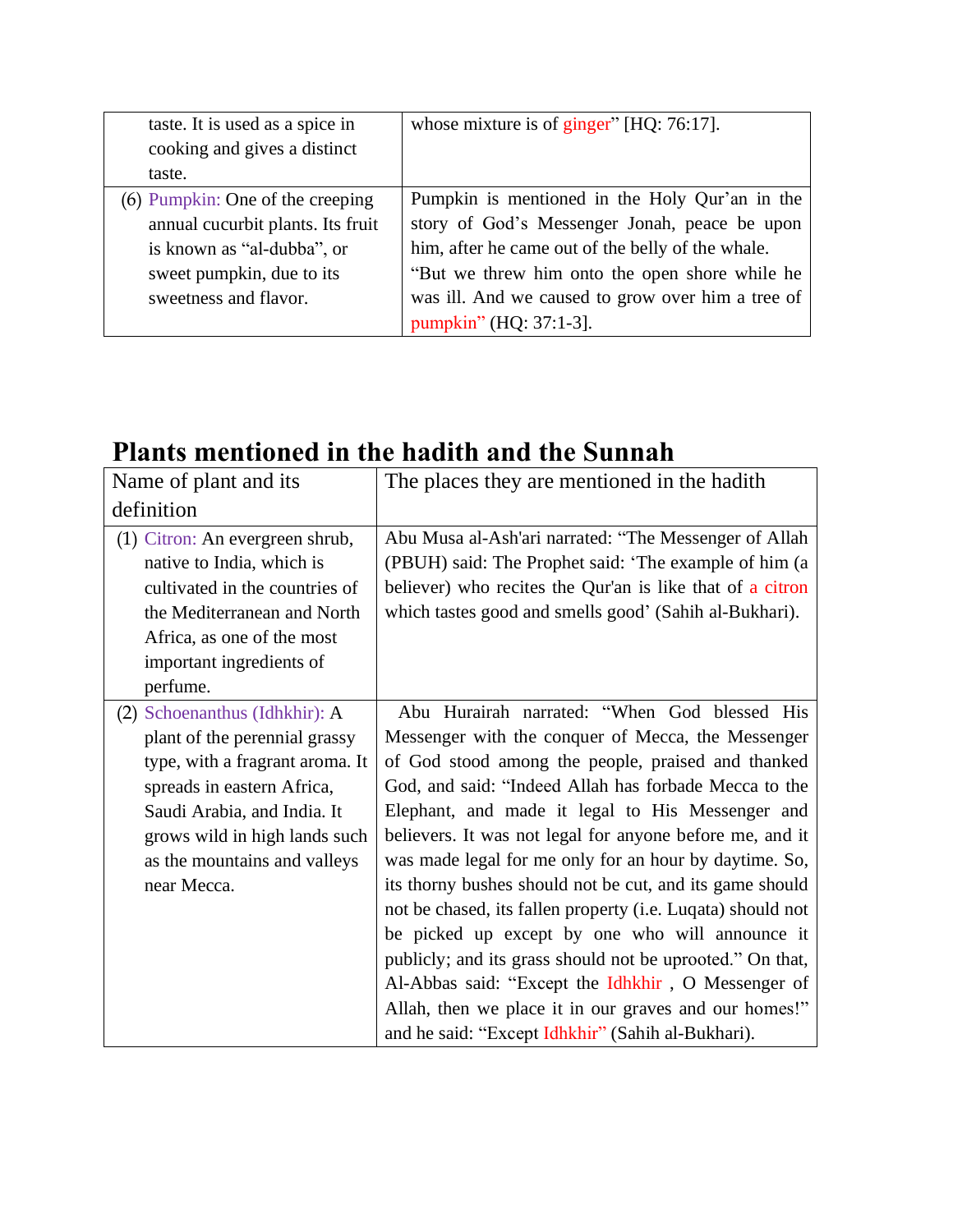| taste. It is used as a spice in   | whose mixture is of ginger" $[HQ: 76:17]$ .       |
|-----------------------------------|---------------------------------------------------|
| cooking and gives a distinct      |                                                   |
| taste.                            |                                                   |
| (6) Pumpkin: One of the creeping  | Pumpkin is mentioned in the Holy Qur'an in the    |
| annual cucurbit plants. Its fruit | story of God's Messenger Jonah, peace be upon     |
| is known as "al-dubba", or        | him, after he came out of the belly of the whale. |
| sweet pumpkin, due to its         | "But we threw him onto the open shore while he    |
| sweetness and flavor.             | was ill. And we caused to grow over him a tree of |
|                                   | pumpkin" (HQ: 37:1-3].                            |

## <span id="page-10-0"></span>**Plants mentioned in the hadith and the Sunnah**

| Name of plant and its                                                                                                                                                                                                                          | The places they are mentioned in the hadith                                                                                                                                                                                                                                                                                                                                                                                                                                                                                                                                                                                                                                                                                                                                                                |
|------------------------------------------------------------------------------------------------------------------------------------------------------------------------------------------------------------------------------------------------|------------------------------------------------------------------------------------------------------------------------------------------------------------------------------------------------------------------------------------------------------------------------------------------------------------------------------------------------------------------------------------------------------------------------------------------------------------------------------------------------------------------------------------------------------------------------------------------------------------------------------------------------------------------------------------------------------------------------------------------------------------------------------------------------------------|
| definition                                                                                                                                                                                                                                     |                                                                                                                                                                                                                                                                                                                                                                                                                                                                                                                                                                                                                                                                                                                                                                                                            |
| (1) Citron: An evergreen shrub,<br>native to India, which is<br>cultivated in the countries of<br>the Mediterranean and North<br>Africa, as one of the most<br>important ingredients of<br>perfume.                                            | Abu Musa al-Ash'ari narrated: "The Messenger of Allah<br>(PBUH) said: The Prophet said: 'The example of him (a<br>believer) who recites the Qur'an is like that of a citron<br>which tastes good and smells good' (Sahih al-Bukhari).                                                                                                                                                                                                                                                                                                                                                                                                                                                                                                                                                                      |
| (2) Schoenanthus (Idhkhir): A<br>plant of the perennial grassy<br>type, with a fragrant aroma. It<br>spreads in eastern Africa,<br>Saudi Arabia, and India. It<br>grows wild in high lands such<br>as the mountains and valleys<br>near Mecca. | Abu Hurairah narrated: "When God blessed His<br>Messenger with the conquer of Mecca, the Messenger<br>of God stood among the people, praised and thanked<br>God, and said: "Indeed Allah has forbade Mecca to the<br>Elephant, and made it legal to His Messenger and<br>believers. It was not legal for anyone before me, and it<br>was made legal for me only for an hour by daytime. So,<br>its thorny bushes should not be cut, and its game should<br>not be chased, its fallen property (i.e. Luqata) should not<br>be picked up except by one who will announce it<br>publicly; and its grass should not be uprooted." On that,<br>Al-Abbas said: "Except the Idhkhir, O Messenger of<br>Allah, then we place it in our graves and our homes!"<br>and he said: "Except Idhkhir" (Sahih al-Bukhari). |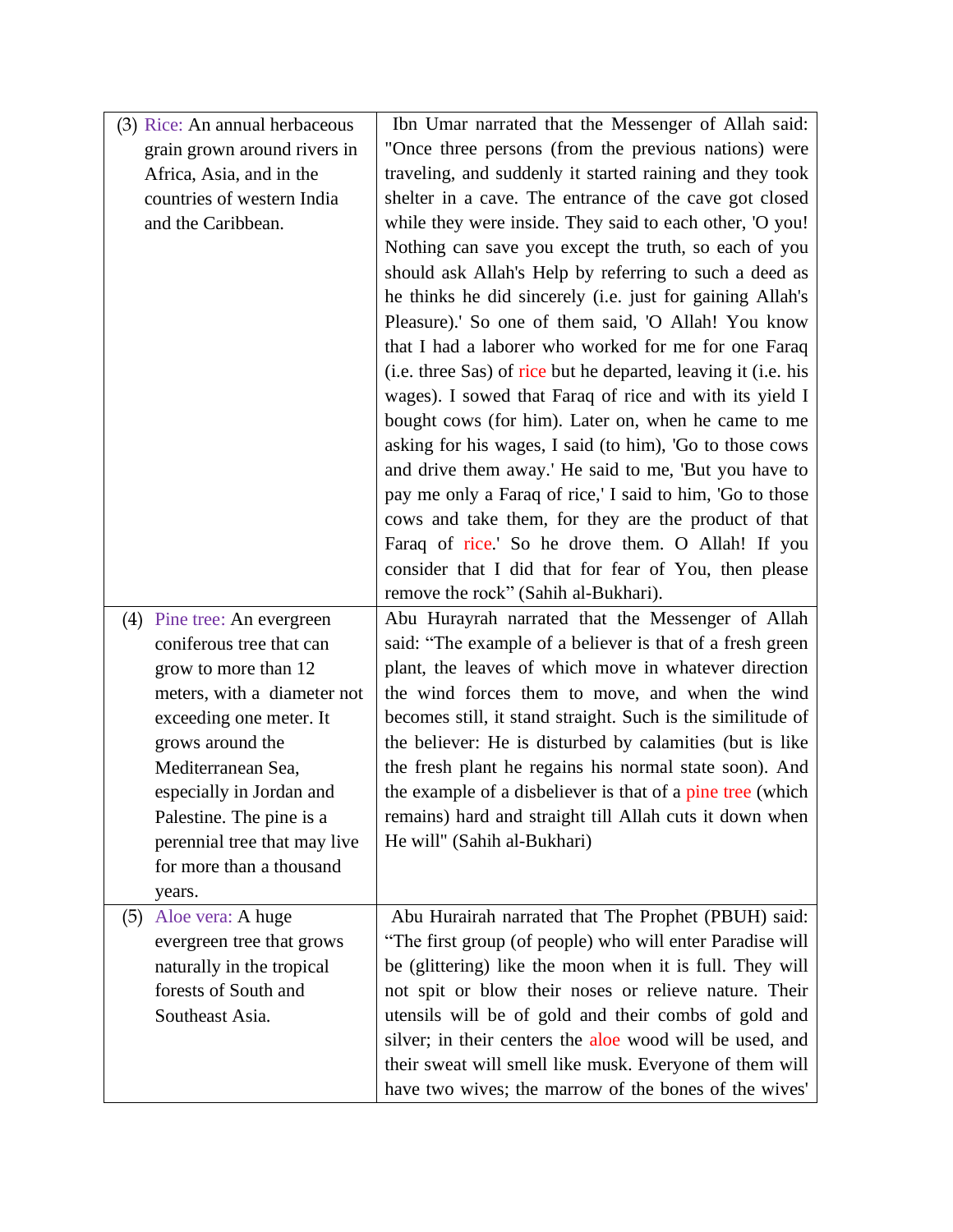| (3) Rice: An annual herbaceous | Ibn Umar narrated that the Messenger of Allah said:                                                              |
|--------------------------------|------------------------------------------------------------------------------------------------------------------|
| grain grown around rivers in   | "Once three persons (from the previous nations) were                                                             |
| Africa, Asia, and in the       | traveling, and suddenly it started raining and they took                                                         |
| countries of western India     | shelter in a cave. The entrance of the cave got closed                                                           |
| and the Caribbean.             | while they were inside. They said to each other, 'O you!                                                         |
|                                | Nothing can save you except the truth, so each of you                                                            |
|                                | should ask Allah's Help by referring to such a deed as                                                           |
|                                | he thinks he did sincerely (i.e. just for gaining Allah's                                                        |
|                                | Pleasure).' So one of them said, 'O Allah! You know                                                              |
|                                | that I had a laborer who worked for me for one Faraq                                                             |
|                                | (i.e. three Sas) of rice but he departed, leaving it (i.e. his                                                   |
|                                | wages). I sowed that Faraq of rice and with its yield I                                                          |
|                                | bought cows (for him). Later on, when he came to me                                                              |
|                                | asking for his wages, I said (to him), 'Go to those cows                                                         |
|                                | and drive them away.' He said to me, 'But you have to                                                            |
|                                | pay me only a Faraq of rice,' I said to him, 'Go to those                                                        |
|                                | cows and take them, for they are the product of that                                                             |
|                                | Faraq of rice.' So he drove them. O Allah! If you                                                                |
|                                | consider that I did that for fear of You, then please                                                            |
|                                | remove the rock" (Sahih al-Bukhari).                                                                             |
|                                |                                                                                                                  |
| (4) Pine tree: An evergreen    | Abu Hurayrah narrated that the Messenger of Allah                                                                |
| coniferous tree that can       | said: "The example of a believer is that of a fresh green                                                        |
| grow to more than 12           | plant, the leaves of which move in whatever direction                                                            |
| meters, with a diameter not    | the wind forces them to move, and when the wind                                                                  |
| exceeding one meter. It        | becomes still, it stand straight. Such is the similitude of                                                      |
| grows around the               | the believer: He is disturbed by calamities (but is like                                                         |
| Mediterranean Sea,             | the fresh plant he regains his normal state soon). And                                                           |
| especially in Jordan and       | the example of a disbeliever is that of a pine tree (which                                                       |
| Palestine. The pine is a       | remains) hard and straight till Allah cuts it down when                                                          |
| perennial tree that may live   | He will" (Sahih al-Bukhari)                                                                                      |
| for more than a thousand       |                                                                                                                  |
| years.                         |                                                                                                                  |
| Aloe vera: A huge<br>(5)       | Abu Hurairah narrated that The Prophet (PBUH) said:                                                              |
| evergreen tree that grows      | "The first group (of people) who will enter Paradise will                                                        |
| naturally in the tropical      | be (glittering) like the moon when it is full. They will                                                         |
| forests of South and           | not spit or blow their noses or relieve nature. Their                                                            |
| Southeast Asia.                | utensils will be of gold and their combs of gold and                                                             |
|                                | silver; in their centers the aloe wood will be used, and                                                         |
|                                | their sweat will smell like musk. Everyone of them will<br>have two wives; the marrow of the bones of the wives' |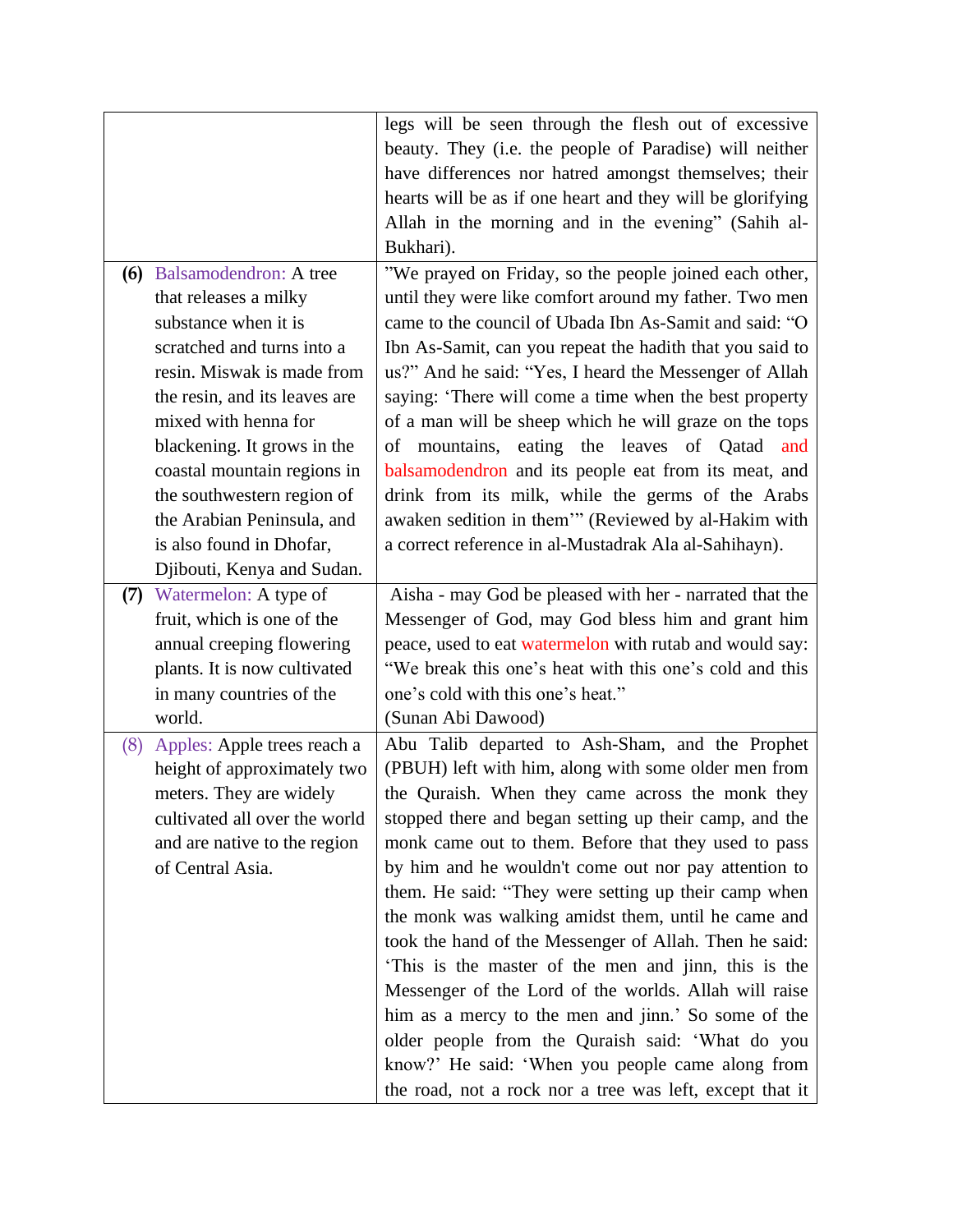|                                                          | legs will be seen through the flesh out of excessive                                                               |
|----------------------------------------------------------|--------------------------------------------------------------------------------------------------------------------|
|                                                          | beauty. They (i.e. the people of Paradise) will neither                                                            |
|                                                          | have differences nor hatred amongst themselves; their                                                              |
|                                                          | hearts will be as if one heart and they will be glorifying                                                         |
|                                                          | Allah in the morning and in the evening" (Sahih al-                                                                |
|                                                          | Bukhari).                                                                                                          |
| (6) Balsamodendron: A tree                               | "We prayed on Friday, so the people joined each other,                                                             |
| that releases a milky                                    | until they were like comfort around my father. Two men                                                             |
| substance when it is                                     | came to the council of Ubada Ibn As-Samit and said: "O                                                             |
| scratched and turns into a                               | Ibn As-Samit, can you repeat the hadith that you said to                                                           |
| resin. Miswak is made from                               | us?" And he said: "Yes, I heard the Messenger of Allah                                                             |
| the resin, and its leaves are                            | saying: 'There will come a time when the best property                                                             |
| mixed with henna for                                     | of a man will be sheep which he will graze on the tops                                                             |
| blackening. It grows in the                              | of mountains, eating the leaves of Qatad and                                                                       |
| coastal mountain regions in                              | balsamodendron and its people eat from its meat, and                                                               |
|                                                          | drink from its milk, while the germs of the Arabs                                                                  |
| the southwestern region of<br>the Arabian Peninsula, and | awaken sedition in them"" (Reviewed by al-Hakim with                                                               |
| is also found in Dhofar,                                 | a correct reference in al-Mustadrak Ala al-Sahihayn).                                                              |
|                                                          |                                                                                                                    |
| Djibouti, Kenya and Sudan.                               | Aisha - may God be pleased with her - narrated that the                                                            |
| (7) Watermelon: A type of<br>fruit, which is one of the  |                                                                                                                    |
|                                                          | Messenger of God, may God bless him and grant him                                                                  |
| annual creeping flowering                                | peace, used to eat watermelon with rutab and would say:<br>"We break this one's heat with this one's cold and this |
| plants. It is now cultivated                             |                                                                                                                    |
| in many countries of the<br>world.                       | one's cold with this one's heat."                                                                                  |
|                                                          | (Sunan Abi Dawood)                                                                                                 |
| (8) Apples: Apple trees reach a                          | Abu Talib departed to Ash-Sham, and the Prophet                                                                    |
| height of approximately two                              | (PBUH) left with him, along with some older men from                                                               |
| meters. They are widely                                  | the Quraish. When they came across the monk they                                                                   |
| cultivated all over the world                            | stopped there and began setting up their camp, and the                                                             |
| and are native to the region                             | monk came out to them. Before that they used to pass                                                               |
| of Central Asia.                                         | by him and he wouldn't come out nor pay attention to                                                               |
|                                                          | them. He said: "They were setting up their camp when                                                               |
|                                                          | the monk was walking amidst them, until he came and                                                                |
|                                                          | took the hand of the Messenger of Allah. Then he said:                                                             |
|                                                          | This is the master of the men and jinn, this is the                                                                |
|                                                          | Messenger of the Lord of the worlds. Allah will raise                                                              |
|                                                          | him as a mercy to the men and jinn.' So some of the                                                                |
|                                                          | older people from the Quraish said: 'What do you                                                                   |
|                                                          | know?' He said: 'When you people came along from                                                                   |
|                                                          | the road, not a rock nor a tree was left, except that it                                                           |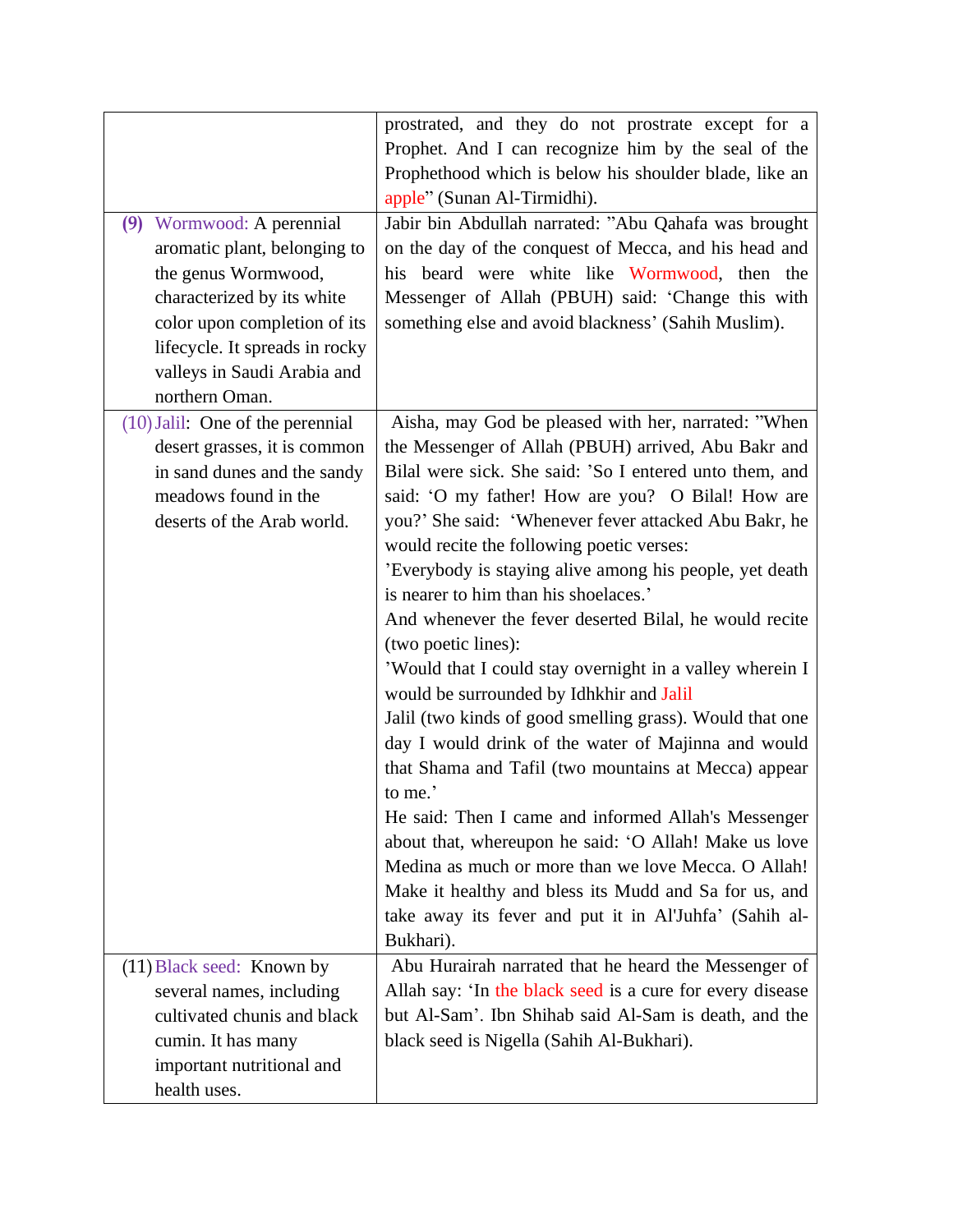| (9) Wormwood: A perennial<br>aromatic plant, belonging to<br>the genus Wormwood,<br>characterized by its white<br>color upon completion of its<br>lifecycle. It spreads in rocky<br>valleys in Saudi Arabia and<br>northern Oman. | prostrated, and they do not prostrate except for a<br>Prophet. And I can recognize him by the seal of the<br>Prophethood which is below his shoulder blade, like an<br>apple" (Sunan Al-Tirmidhi).<br>Jabir bin Abdullah narrated: "Abu Qahafa was brought<br>on the day of the conquest of Mecca, and his head and<br>his beard were white like Wormwood, then the<br>Messenger of Allah (PBUH) said: 'Change this with<br>something else and avoid blackness' (Sahih Muslim).                                                                                                                                                                                                                                                                                                                                                                                                                                                                                                                                                                                                                                            |
|-----------------------------------------------------------------------------------------------------------------------------------------------------------------------------------------------------------------------------------|----------------------------------------------------------------------------------------------------------------------------------------------------------------------------------------------------------------------------------------------------------------------------------------------------------------------------------------------------------------------------------------------------------------------------------------------------------------------------------------------------------------------------------------------------------------------------------------------------------------------------------------------------------------------------------------------------------------------------------------------------------------------------------------------------------------------------------------------------------------------------------------------------------------------------------------------------------------------------------------------------------------------------------------------------------------------------------------------------------------------------|
| $(10)$ Jalil: One of the perennial<br>desert grasses, it is common<br>in sand dunes and the sandy<br>meadows found in the<br>deserts of the Arab world.                                                                           | Aisha, may God be pleased with her, narrated: "When<br>the Messenger of Allah (PBUH) arrived, Abu Bakr and<br>Bilal were sick. She said: 'So I entered unto them, and<br>said: 'O my father! How are you? O Bilal! How are<br>you?' She said: 'Whenever fever attacked Abu Bakr, he<br>would recite the following poetic verses:<br>'Everybody is staying alive among his people, yet death<br>is nearer to him than his shoelaces.'<br>And whenever the fever deserted Bilal, he would recite<br>(two poetic lines):<br>'Would that I could stay overnight in a valley wherein I<br>would be surrounded by Idhkhir and Jalil<br>Jalil (two kinds of good smelling grass). Would that one<br>day I would drink of the water of Majinna and would<br>that Shama and Tafil (two mountains at Mecca) appear<br>to me.'<br>He said: Then I came and informed Allah's Messenger<br>about that, whereupon he said: 'O Allah! Make us love<br>Medina as much or more than we love Mecca. O Allah!<br>Make it healthy and bless its Mudd and Sa for us, and<br>take away its fever and put it in Al'Juhfa' (Sahih al-<br>Bukhari). |
| (11) Black seed: Known by<br>several names, including<br>cultivated chunis and black<br>cumin. It has many<br>important nutritional and                                                                                           | Abu Hurairah narrated that he heard the Messenger of<br>Allah say: 'In the black seed is a cure for every disease<br>but Al-Sam'. Ibn Shihab said Al-Sam is death, and the<br>black seed is Nigella (Sahih Al-Bukhari).                                                                                                                                                                                                                                                                                                                                                                                                                                                                                                                                                                                                                                                                                                                                                                                                                                                                                                    |
| health uses.                                                                                                                                                                                                                      |                                                                                                                                                                                                                                                                                                                                                                                                                                                                                                                                                                                                                                                                                                                                                                                                                                                                                                                                                                                                                                                                                                                            |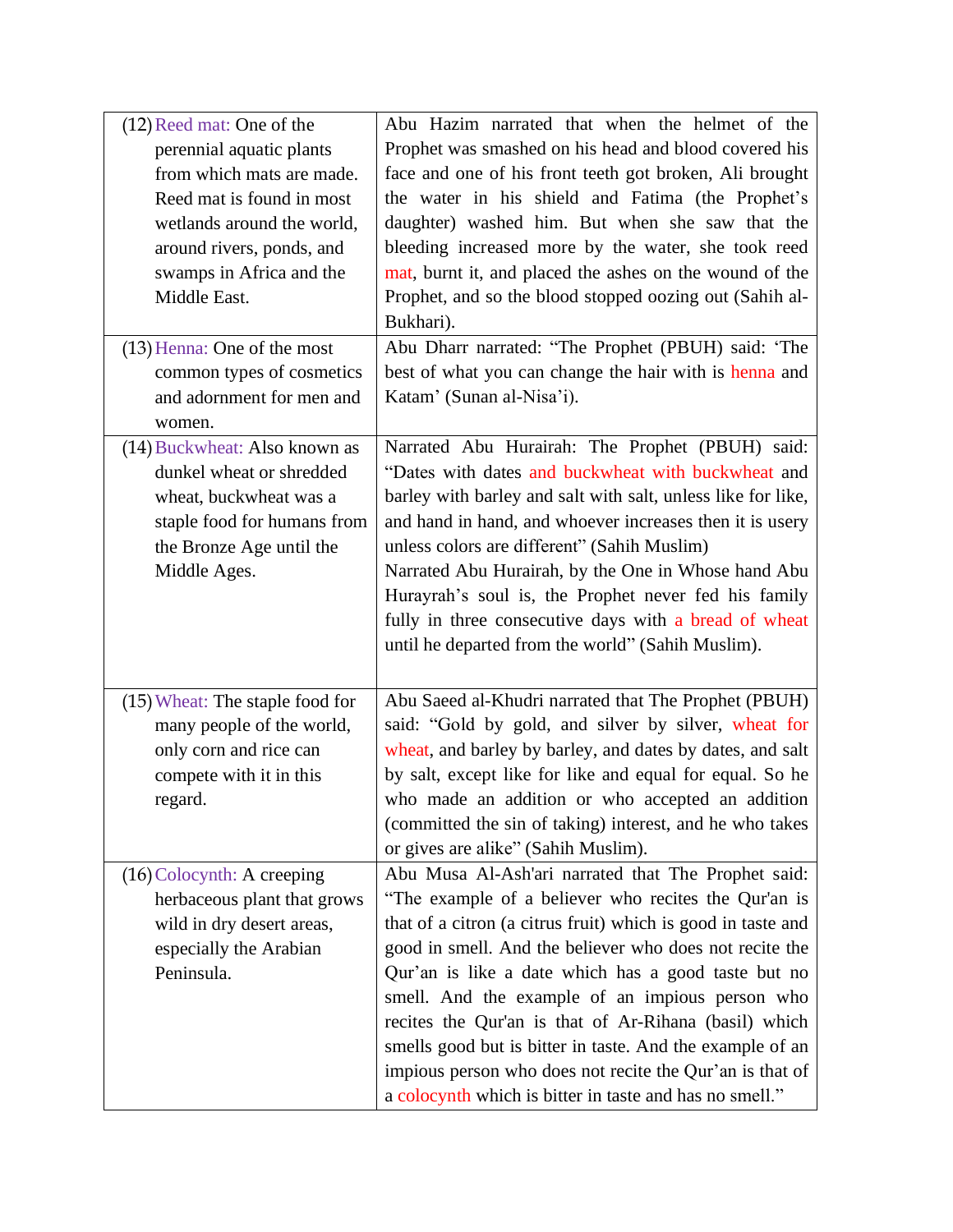| (12) Reed mat: One of the<br>perennial aquatic plants<br>from which mats are made.<br>Reed mat is found in most<br>wetlands around the world,<br>around rivers, ponds, and<br>swamps in Africa and the<br>Middle East.<br>(13) Henna: One of the most<br>common types of cosmetics | Abu Hazim narrated that when the helmet of the<br>Prophet was smashed on his head and blood covered his<br>face and one of his front teeth got broken, Ali brought<br>the water in his shield and Fatima (the Prophet's<br>daughter) washed him. But when she saw that the<br>bleeding increased more by the water, she took reed<br>mat, burnt it, and placed the ashes on the wound of the<br>Prophet, and so the blood stopped oozing out (Sahih al-<br>Bukhari).<br>Abu Dharr narrated: "The Prophet (PBUH) said: 'The<br>best of what you can change the hair with is henna and          |
|------------------------------------------------------------------------------------------------------------------------------------------------------------------------------------------------------------------------------------------------------------------------------------|-----------------------------------------------------------------------------------------------------------------------------------------------------------------------------------------------------------------------------------------------------------------------------------------------------------------------------------------------------------------------------------------------------------------------------------------------------------------------------------------------------------------------------------------------------------------------------------------------|
| and adornment for men and<br>women.                                                                                                                                                                                                                                                | Katam' (Sunan al-Nisa'i).                                                                                                                                                                                                                                                                                                                                                                                                                                                                                                                                                                     |
| (14) Buckwheat: Also known as<br>dunkel wheat or shredded<br>wheat, buckwheat was a<br>staple food for humans from<br>the Bronze Age until the<br>Middle Ages.                                                                                                                     | Narrated Abu Hurairah: The Prophet (PBUH) said:<br>"Dates with dates and buckwheat with buckwheat and<br>barley with barley and salt with salt, unless like for like,<br>and hand in hand, and whoever increases then it is usery<br>unless colors are different" (Sahih Muslim)<br>Narrated Abu Hurairah, by the One in Whose hand Abu<br>Hurayrah's soul is, the Prophet never fed his family<br>fully in three consecutive days with a bread of wheat<br>until he departed from the world" (Sahih Muslim).                                                                                 |
| (15) Wheat: The staple food for<br>many people of the world,<br>only corn and rice can<br>compete with it in this<br>regard.                                                                                                                                                       | Abu Saeed al-Khudri narrated that The Prophet (PBUH)<br>said: "Gold by gold, and silver by silver, wheat for<br>wheat, and barley by barley, and dates by dates, and salt<br>by salt, except like for like and equal for equal. So he<br>who made an addition or who accepted an addition<br>(committed the sin of taking) interest, and he who takes<br>or gives are alike" (Sahih Muslim).                                                                                                                                                                                                  |
| $(16)$ Colocynth: A creeping<br>herbaceous plant that grows<br>wild in dry desert areas,<br>especially the Arabian<br>Peninsula.                                                                                                                                                   | Abu Musa Al-Ash'ari narrated that The Prophet said:<br>"The example of a believer who recites the Qur'an is<br>that of a citron (a citrus fruit) which is good in taste and<br>good in smell. And the believer who does not recite the<br>Qur'an is like a date which has a good taste but no<br>smell. And the example of an impious person who<br>recites the Qur'an is that of Ar-Rihana (basil) which<br>smells good but is bitter in taste. And the example of an<br>impious person who does not recite the Qur'an is that of<br>a colocynth which is bitter in taste and has no smell." |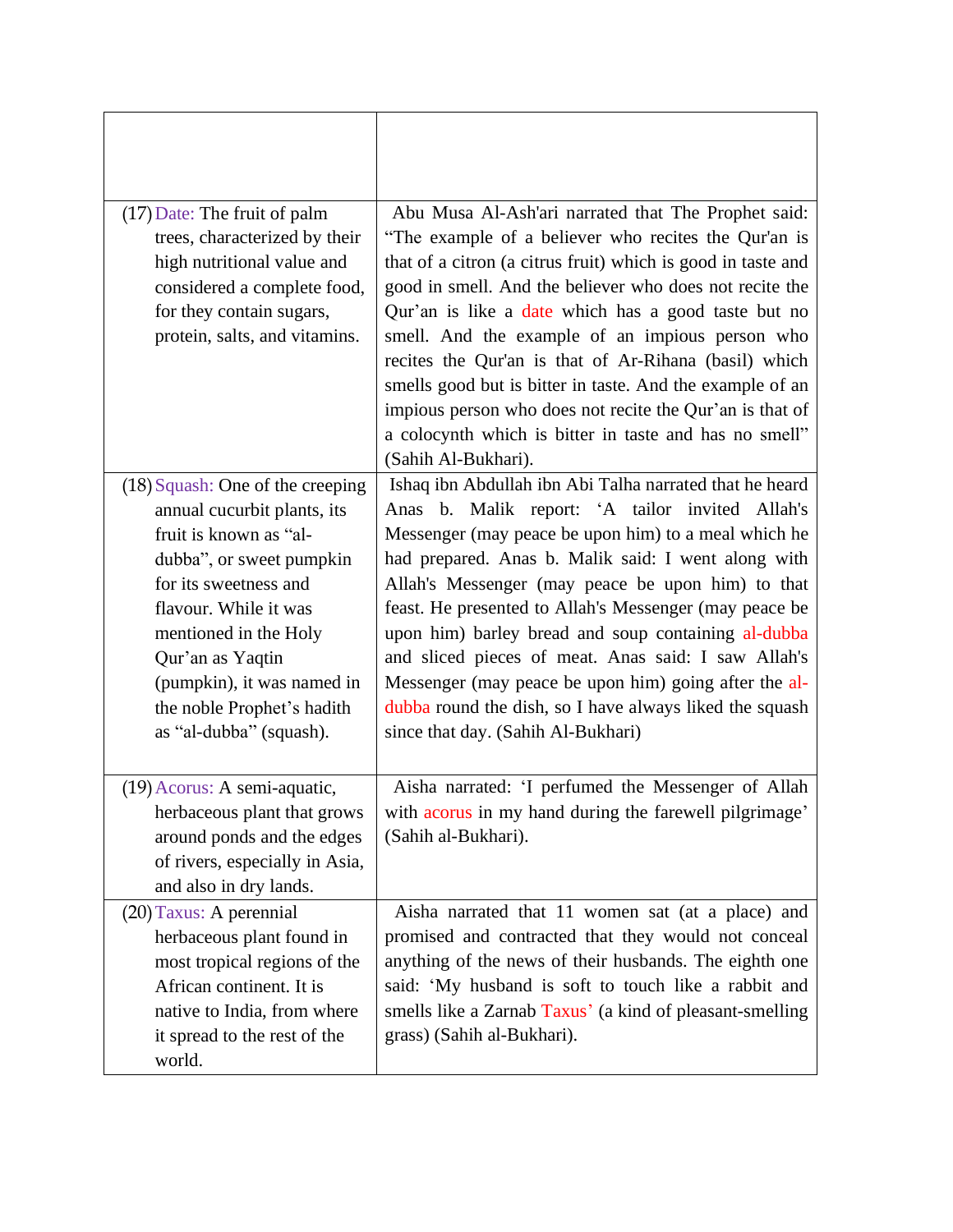| (17) Date: The fruit of palm<br>trees, characterized by their<br>high nutritional value and<br>considered a complete food,<br>for they contain sugars,<br>protein, salts, and vitamins.                                                                                                                       | Abu Musa Al-Ash'ari narrated that The Prophet said:<br>"The example of a believer who recites the Qur'an is<br>that of a citron (a citrus fruit) which is good in taste and<br>good in smell. And the believer who does not recite the<br>Qur'an is like a date which has a good taste but no<br>smell. And the example of an impious person who<br>recites the Qur'an is that of Ar-Rihana (basil) which<br>smells good but is bitter in taste. And the example of an<br>impious person who does not recite the Qur'an is that of<br>a colocynth which is bitter in taste and has no smell"<br>(Sahih Al-Bukhari). |
|---------------------------------------------------------------------------------------------------------------------------------------------------------------------------------------------------------------------------------------------------------------------------------------------------------------|---------------------------------------------------------------------------------------------------------------------------------------------------------------------------------------------------------------------------------------------------------------------------------------------------------------------------------------------------------------------------------------------------------------------------------------------------------------------------------------------------------------------------------------------------------------------------------------------------------------------|
| $(18)$ Squash: One of the creeping<br>annual cucurbit plants, its<br>fruit is known as "al-<br>dubba", or sweet pumpkin<br>for its sweetness and<br>flavour. While it was<br>mentioned in the Holy<br>Qur'an as Yaqtin<br>(pumpkin), it was named in<br>the noble Prophet's hadith<br>as "al-dubba" (squash). | Ishaq ibn Abdullah ibn Abi Talha narrated that he heard<br>Anas b. Malik report: 'A tailor invited Allah's<br>Messenger (may peace be upon him) to a meal which he<br>had prepared. Anas b. Malik said: I went along with<br>Allah's Messenger (may peace be upon him) to that<br>feast. He presented to Allah's Messenger (may peace be<br>upon him) barley bread and soup containing al-dubba<br>and sliced pieces of meat. Anas said: I saw Allah's<br>Messenger (may peace be upon him) going after the al-<br>dubba round the dish, so I have always liked the squash<br>since that day. (Sahih Al-Bukhari)    |
| (19) Acorus: A semi-aquatic,<br>herbaceous plant that grows<br>around ponds and the edges<br>of rivers, especially in Asia,<br>and also in dry lands.                                                                                                                                                         | Aisha narrated: 'I perfumed the Messenger of Allah<br>with acorus in my hand during the farewell pilgrimage<br>(Sahih al-Bukhari).                                                                                                                                                                                                                                                                                                                                                                                                                                                                                  |
| (20) Taxus: A perennial<br>herbaceous plant found in<br>most tropical regions of the<br>African continent. It is<br>native to India, from where<br>it spread to the rest of the<br>world.                                                                                                                     | Aisha narrated that 11 women sat (at a place) and<br>promised and contracted that they would not conceal<br>anything of the news of their husbands. The eighth one<br>said: 'My husband is soft to touch like a rabbit and<br>smells like a Zarnab Taxus' (a kind of pleasant-smelling<br>grass) (Sahih al-Bukhari).                                                                                                                                                                                                                                                                                                |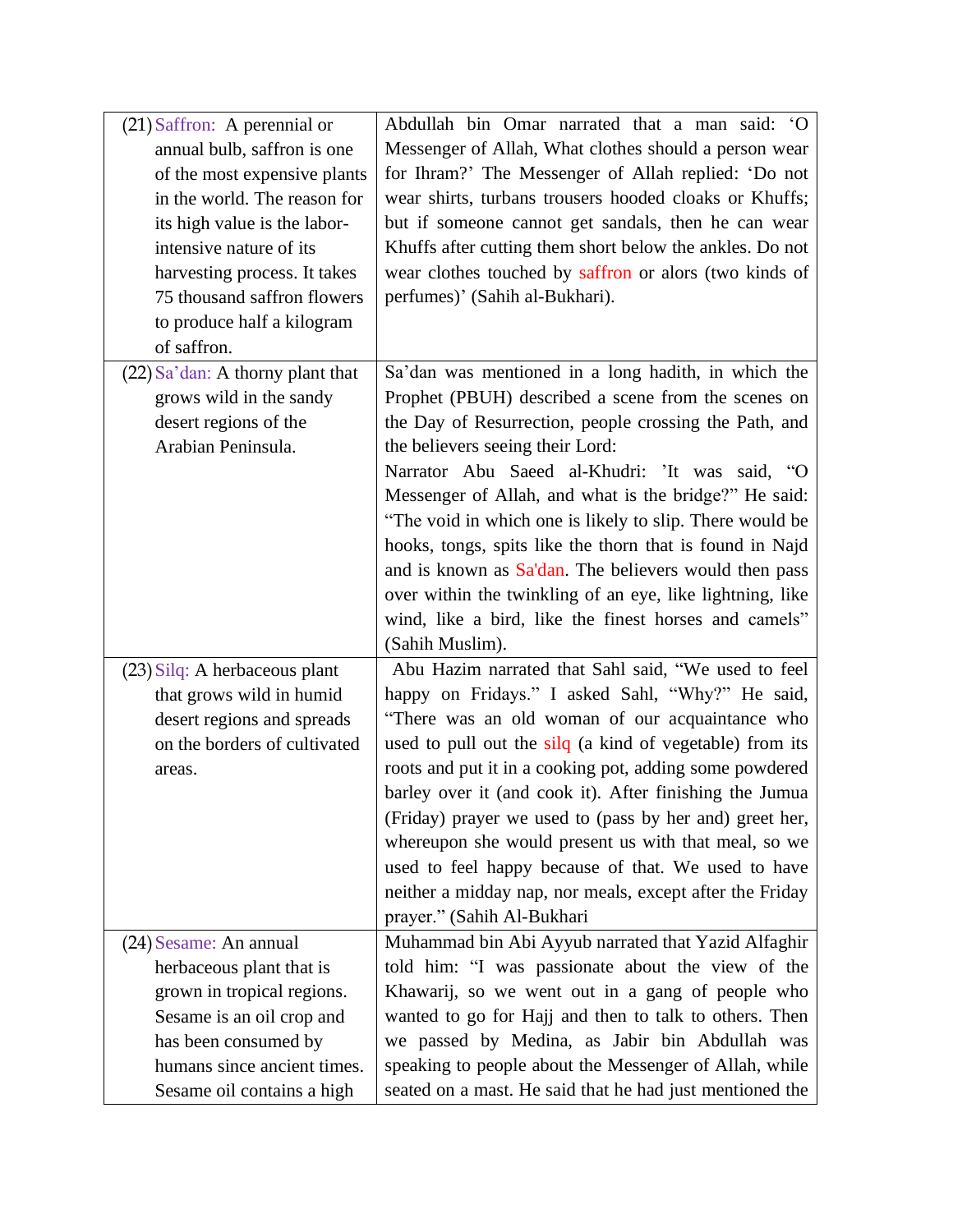| $(21)$ Saffron: A perennial or   | Abdullah bin Omar narrated that a man said: 'O            |
|----------------------------------|-----------------------------------------------------------|
| annual bulb, saffron is one      | Messenger of Allah, What clothes should a person wear     |
| of the most expensive plants     | for Ihram?' The Messenger of Allah replied: 'Do not       |
| in the world. The reason for     | wear shirts, turbans trousers hooded cloaks or Khuffs;    |
| its high value is the labor-     | but if someone cannot get sandals, then he can wear       |
| intensive nature of its          | Khuffs after cutting them short below the ankles. Do not  |
| harvesting process. It takes     | wear clothes touched by saffron or alors (two kinds of    |
| 75 thousand saffron flowers      | perfumes)' (Sahih al-Bukhari).                            |
| to produce half a kilogram       |                                                           |
| of saffron.                      |                                                           |
| (22) Sa'dan: A thorny plant that | Sa'dan was mentioned in a long hadith, in which the       |
| grows wild in the sandy          | Prophet (PBUH) described a scene from the scenes on       |
| desert regions of the            | the Day of Resurrection, people crossing the Path, and    |
| Arabian Peninsula.               | the believers seeing their Lord:                          |
|                                  | Narrator Abu Saeed al-Khudri: 'It was said, "O            |
|                                  | Messenger of Allah, and what is the bridge?" He said:     |
|                                  | "The void in which one is likely to slip. There would be  |
|                                  | hooks, tongs, spits like the thorn that is found in Najd  |
|                                  | and is known as Sa'dan. The believers would then pass     |
|                                  | over within the twinkling of an eye, like lightning, like |
|                                  | wind, like a bird, like the finest horses and camels"     |
|                                  | (Sahih Muslim).                                           |
|                                  |                                                           |
| (23) Silq: A herbaceous plant    | Abu Hazim narrated that Sahl said, "We used to feel       |
| that grows wild in humid         | happy on Fridays." I asked Sahl, "Why?" He said,          |
| desert regions and spreads       | "There was an old woman of our acquaintance who           |
| on the borders of cultivated     | used to pull out the silq (a kind of vegetable) from its  |
| areas.                           | roots and put it in a cooking pot, adding some powdered   |
|                                  | barley over it (and cook it). After finishing the Jumua   |
|                                  | (Friday) prayer we used to (pass by her and) greet her,   |
|                                  | whereupon she would present us with that meal, so we      |
|                                  | used to feel happy because of that. We used to have       |
|                                  | neither a midday nap, nor meals, except after the Friday  |
|                                  | prayer." (Sahih Al-Bukhari                                |
| (24) Sesame: An annual           | Muhammad bin Abi Ayyub narrated that Yazid Alfaghir       |
| herbaceous plant that is         | told him: "I was passionate about the view of the         |
| grown in tropical regions.       | Khawarij, so we went out in a gang of people who          |
| Sesame is an oil crop and        | wanted to go for Hajj and then to talk to others. Then    |
| has been consumed by             | we passed by Medina, as Jabir bin Abdullah was            |
| humans since ancient times.      | speaking to people about the Messenger of Allah, while    |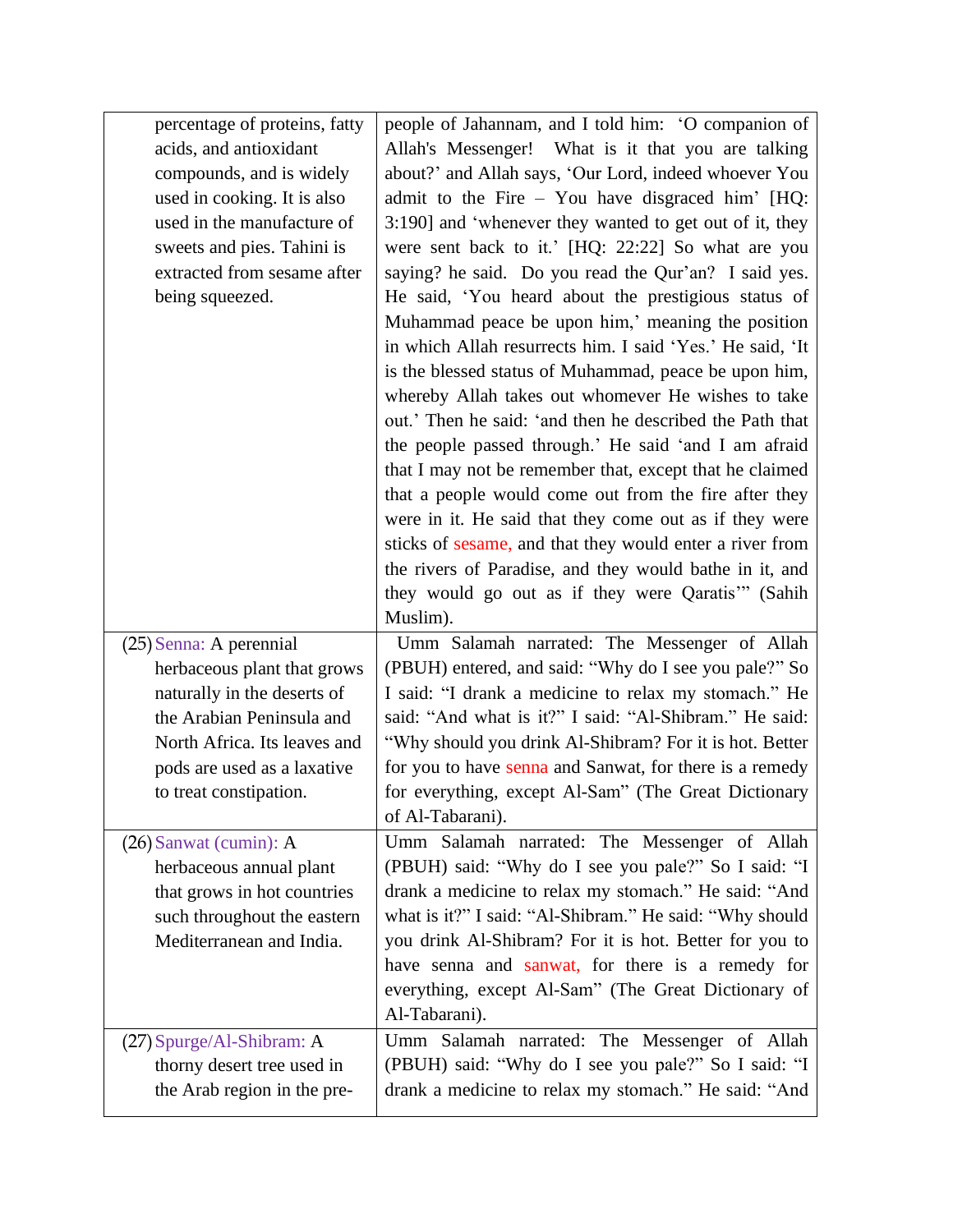| percentage of proteins, fatty<br>acids, and antioxidant<br>compounds, and is widely<br>used in cooking. It is also<br>used in the manufacture of<br>sweets and pies. Tahini is<br>extracted from sesame after<br>being squeezed. | people of Jahannam, and I told him: 'O companion of<br>Allah's Messenger! What is it that you are talking<br>about?' and Allah says, 'Our Lord, indeed whoever You<br>admit to the Fire - You have disgraced him' [HQ:<br>3:190] and 'whenever they wanted to get out of it, they<br>were sent back to it.' [HQ: 22:22] So what are you<br>saying? he said. Do you read the Qur'an? I said yes.<br>He said, 'You heard about the prestigious status of<br>Muhammad peace be upon him,' meaning the position<br>in which Allah resurrects him. I said 'Yes.' He said, 'It<br>is the blessed status of Muhammad, peace be upon him,<br>whereby Allah takes out whomever He wishes to take<br>out.' Then he said: 'and then he described the Path that<br>the people passed through.' He said 'and I am afraid |
|----------------------------------------------------------------------------------------------------------------------------------------------------------------------------------------------------------------------------------|-------------------------------------------------------------------------------------------------------------------------------------------------------------------------------------------------------------------------------------------------------------------------------------------------------------------------------------------------------------------------------------------------------------------------------------------------------------------------------------------------------------------------------------------------------------------------------------------------------------------------------------------------------------------------------------------------------------------------------------------------------------------------------------------------------------|
|                                                                                                                                                                                                                                  | that I may not be remember that, except that he claimed<br>that a people would come out from the fire after they<br>were in it. He said that they come out as if they were<br>sticks of sesame, and that they would enter a river from<br>the rivers of Paradise, and they would bathe in it, and<br>they would go out as if they were Qaratis" (Sahih<br>Muslim).                                                                                                                                                                                                                                                                                                                                                                                                                                          |
| (25) Senna: A perennial<br>herbaceous plant that grows<br>naturally in the deserts of<br>the Arabian Peninsula and<br>North Africa. Its leaves and<br>pods are used as a laxative<br>to treat constipation.                      | Umm Salamah narrated: The Messenger of Allah<br>(PBUH) entered, and said: "Why do I see you pale?" So<br>I said: "I drank a medicine to relax my stomach." He<br>said: "And what is it?" I said: "Al-Shibram." He said:<br>"Why should you drink Al-Shibram? For it is hot. Better<br>for you to have senna and Sanwat, for there is a remedy<br>for everything, except Al-Sam" (The Great Dictionary<br>of Al-Tabarani).                                                                                                                                                                                                                                                                                                                                                                                   |
| $(26)$ Sanwat (cumin): A<br>herbaceous annual plant<br>that grows in hot countries<br>such throughout the eastern<br>Mediterranean and India.                                                                                    | Umm Salamah narrated: The Messenger of Allah<br>(PBUH) said: "Why do I see you pale?" So I said: "I<br>drank a medicine to relax my stomach." He said: "And<br>what is it?" I said: "Al-Shibram." He said: "Why should<br>you drink Al-Shibram? For it is hot. Better for you to<br>have senna and sanwat, for there is a remedy for<br>everything, except Al-Sam" (The Great Dictionary of<br>Al-Tabarani).                                                                                                                                                                                                                                                                                                                                                                                                |
| (27) Spurge/Al-Shibram: A<br>thorny desert tree used in<br>the Arab region in the pre-                                                                                                                                           | Umm Salamah narrated: The Messenger of Allah<br>(PBUH) said: "Why do I see you pale?" So I said: "I<br>drank a medicine to relax my stomach." He said: "And                                                                                                                                                                                                                                                                                                                                                                                                                                                                                                                                                                                                                                                 |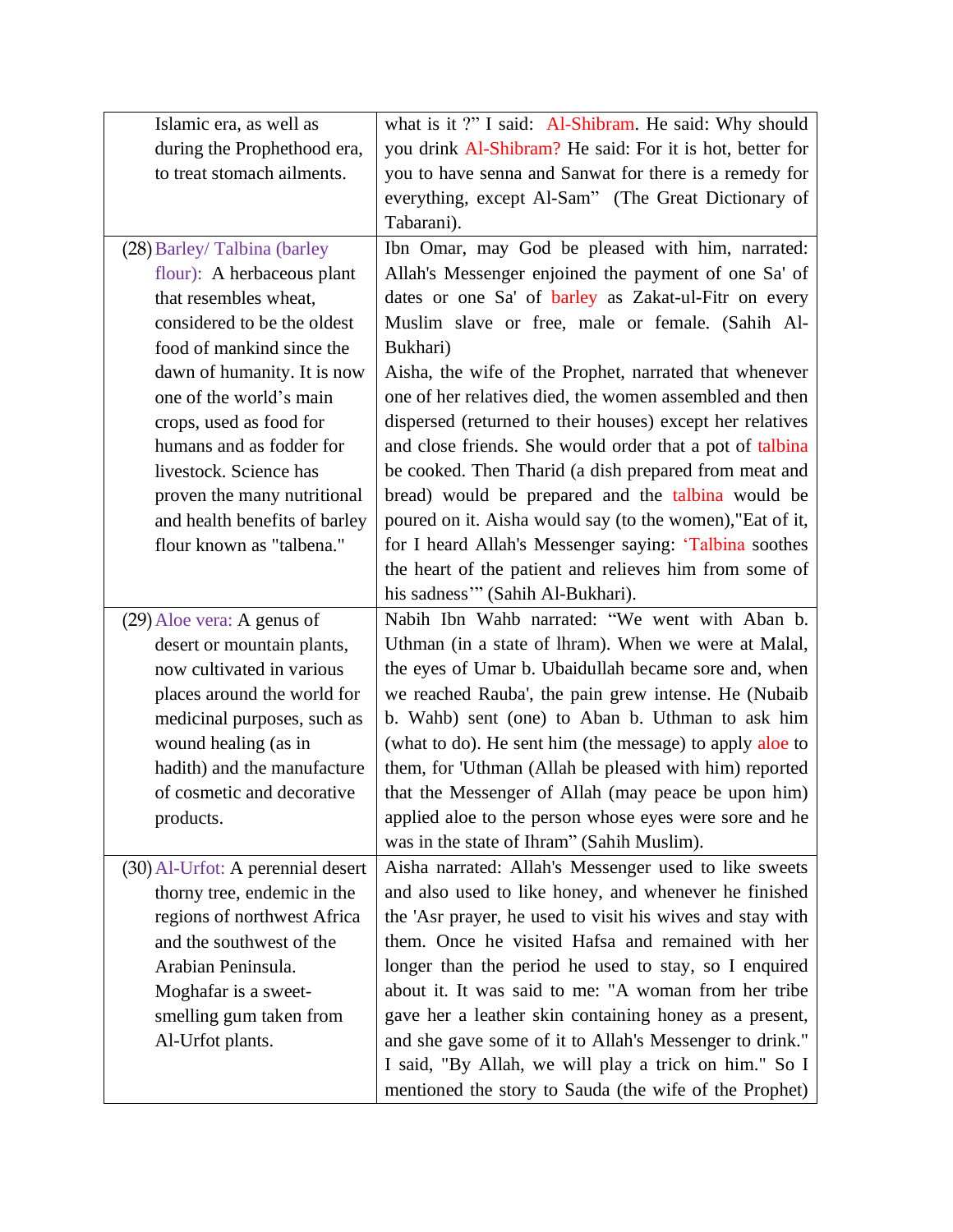| Islamic era, as well as           | what is it ?" I said: Al-Shibram. He said: Why should                                                           |
|-----------------------------------|-----------------------------------------------------------------------------------------------------------------|
| during the Prophethood era,       | you drink Al-Shibram? He said: For it is hot, better for                                                        |
| to treat stomach ailments.        | you to have senna and Sanwat for there is a remedy for                                                          |
|                                   | everything, except Al-Sam" (The Great Dictionary of                                                             |
|                                   | Tabarani).                                                                                                      |
| (28) Barley/Talbina (barley       | Ibn Omar, may God be pleased with him, narrated:                                                                |
| flour): A herbaceous plant        | Allah's Messenger enjoined the payment of one Sa' of                                                            |
| that resembles wheat,             | dates or one Sa' of barley as Zakat-ul-Fitr on every                                                            |
| considered to be the oldest       | Muslim slave or free, male or female. (Sahih Al-                                                                |
| food of mankind since the         | Bukhari)                                                                                                        |
| dawn of humanity. It is now       | Aisha, the wife of the Prophet, narrated that whenever                                                          |
| one of the world's main           | one of her relatives died, the women assembled and then                                                         |
| crops, used as food for           | dispersed (returned to their houses) except her relatives                                                       |
| humans and as fodder for          | and close friends. She would order that a pot of talbina                                                        |
| livestock. Science has            | be cooked. Then Tharid (a dish prepared from meat and                                                           |
| proven the many nutritional       | bread) would be prepared and the talbina would be                                                               |
| and health benefits of barley     | poured on it. Aisha would say (to the women),"Eat of it,                                                        |
| flour known as "talbena."         | for I heard Allah's Messenger saying: 'Talbina soothes                                                          |
|                                   | the heart of the patient and relieves him from some of                                                          |
|                                   | his sadness"" (Sahih Al-Bukhari).                                                                               |
|                                   |                                                                                                                 |
| (29) Aloe vera: A genus of        | Nabih Ibn Wahb narrated: "We went with Aban b.                                                                  |
| desert or mountain plants,        | Uthman (in a state of lhram). When we were at Malal,                                                            |
| now cultivated in various         | the eyes of Umar b. Ubaidullah became sore and, when                                                            |
| places around the world for       | we reached Rauba', the pain grew intense. He (Nubaib                                                            |
| medicinal purposes, such as       | b. Wahb) sent (one) to Aban b. Uthman to ask him                                                                |
| wound healing (as in              | (what to do). He sent him (the message) to apply aloe to                                                        |
| hadith) and the manufacture       | them, for 'Uthman (Allah be pleased with him) reported                                                          |
| of cosmetic and decorative        | that the Messenger of Allah (may peace be upon him)                                                             |
| products.                         | applied aloe to the person whose eyes were sore and he                                                          |
|                                   | was in the state of Ihram" (Sahih Muslim).                                                                      |
| (30) Al-Urfot: A perennial desert | Aisha narrated: Allah's Messenger used to like sweets                                                           |
| thorny tree, endemic in the       | and also used to like honey, and whenever he finished                                                           |
| regions of northwest Africa       | the 'Asr prayer, he used to visit his wives and stay with                                                       |
| and the southwest of the          | them. Once he visited Hafsa and remained with her                                                               |
| Arabian Peninsula.                | longer than the period he used to stay, so I enquired                                                           |
| Moghafar is a sweet-              | about it. It was said to me: "A woman from her tribe                                                            |
| smelling gum taken from           | gave her a leather skin containing honey as a present,                                                          |
| Al-Urfot plants.                  | and she gave some of it to Allah's Messenger to drink."                                                         |
|                                   | I said, "By Allah, we will play a trick on him." So I<br>mentioned the story to Sauda (the wife of the Prophet) |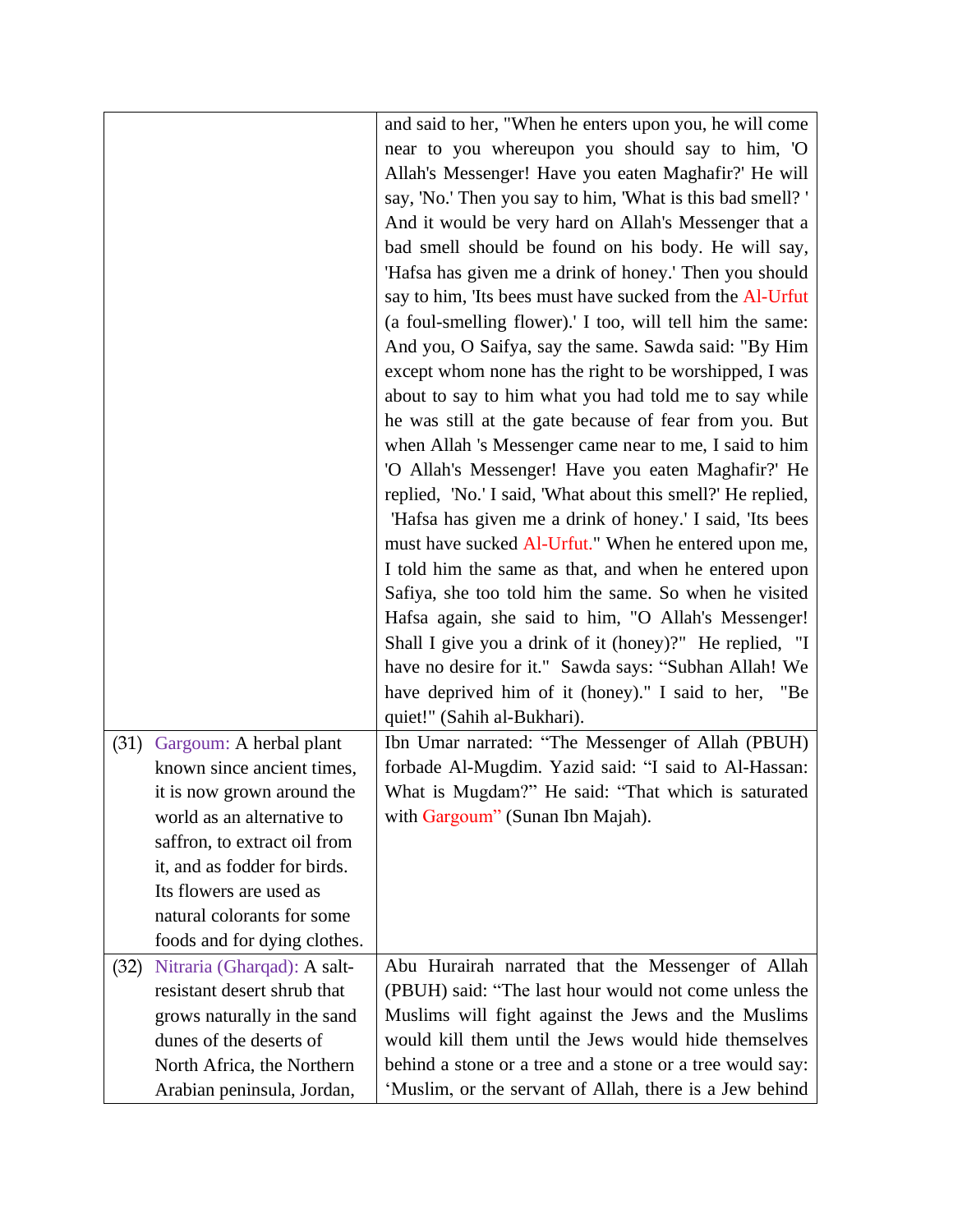|      |                              | and said to her, "When he enters upon you, he will come     |
|------|------------------------------|-------------------------------------------------------------|
|      |                              | near to you whereupon you should say to him, 'O             |
|      |                              | Allah's Messenger! Have you eaten Maghafir?' He will        |
|      |                              | say, 'No.' Then you say to him, 'What is this bad smell?'   |
|      |                              |                                                             |
|      |                              | And it would be very hard on Allah's Messenger that a       |
|      |                              | bad smell should be found on his body. He will say,         |
|      |                              | 'Hafsa has given me a drink of honey.' Then you should      |
|      |                              | say to him, 'Its bees must have sucked from the Al-Urfut    |
|      |                              | (a foul-smelling flower).' I too, will tell him the same:   |
|      |                              | And you, O Saifya, say the same. Sawda said: "By Him        |
|      |                              | except whom none has the right to be worshipped, I was      |
|      |                              | about to say to him what you had told me to say while       |
|      |                              | he was still at the gate because of fear from you. But      |
|      |                              | when Allah 's Messenger came near to me, I said to him      |
|      |                              | 'O Allah's Messenger! Have you eaten Maghafir?' He          |
|      |                              | replied, 'No.' I said, 'What about this smell?' He replied, |
|      |                              | 'Hafsa has given me a drink of honey.' I said, 'Its bees    |
|      |                              | must have sucked Al-Urfut." When he entered upon me,        |
|      |                              | I told him the same as that, and when he entered upon       |
|      |                              | Safiya, she too told him the same. So when he visited       |
|      |                              | Hafsa again, she said to him, "O Allah's Messenger!         |
|      |                              | Shall I give you a drink of it (honey)?" He replied, "I     |
|      |                              | have no desire for it." Sawda says: "Subhan Allah! We       |
|      |                              | have deprived him of it (honey)." I said to her, "Be        |
|      |                              | quiet!" (Sahih al-Bukhari).                                 |
| (31) | Gargoum: A herbal plant      | Ibn Umar narrated: "The Messenger of Allah (PBUH)           |
|      | known since ancient times,   | forbade Al-Mugdim. Yazid said: "I said to Al-Hassan:        |
|      | it is now grown around the   | What is Mugdam?" He said: "That which is saturated          |
|      | world as an alternative to   | with Gargoum" (Sunan Ibn Majah).                            |
|      | saffron, to extract oil from |                                                             |
|      | it, and as fodder for birds. |                                                             |
|      | Its flowers are used as      |                                                             |
|      | natural colorants for some   |                                                             |
|      |                              |                                                             |
|      | foods and for dying clothes. |                                                             |
| (32) | Nitraria (Gharqad): A salt-  | Abu Hurairah narrated that the Messenger of Allah           |
|      | resistant desert shrub that  | (PBUH) said: "The last hour would not come unless the       |
|      | grows naturally in the sand  | Muslims will fight against the Jews and the Muslims         |
|      | dunes of the deserts of      | would kill them until the Jews would hide themselves        |
|      | North Africa, the Northern   | behind a stone or a tree and a stone or a tree would say:   |
|      | Arabian peninsula, Jordan,   | 'Muslim, or the servant of Allah, there is a Jew behind     |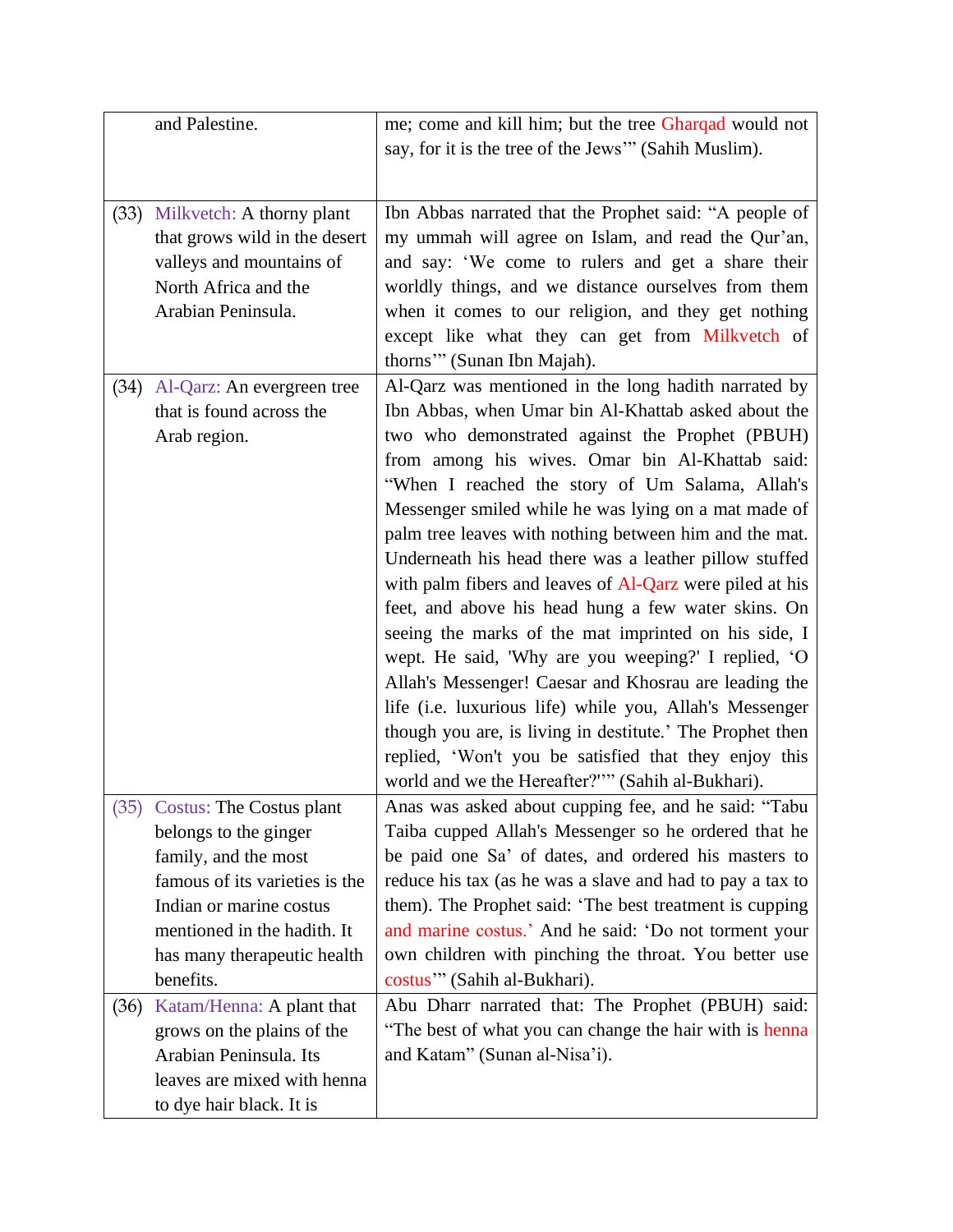|      | and Palestine.                                                                                                                                                                                                                                                                                                                                                         | me; come and kill him; but the tree Gharqad would not<br>say, for it is the tree of the Jews" (Sahih Muslim).                                                                                                                                                                                                                                                                                                                                                                                                                                                                                                                                                                                                                                                                                                                                                                                                                                                                     |
|------|------------------------------------------------------------------------------------------------------------------------------------------------------------------------------------------------------------------------------------------------------------------------------------------------------------------------------------------------------------------------|-----------------------------------------------------------------------------------------------------------------------------------------------------------------------------------------------------------------------------------------------------------------------------------------------------------------------------------------------------------------------------------------------------------------------------------------------------------------------------------------------------------------------------------------------------------------------------------------------------------------------------------------------------------------------------------------------------------------------------------------------------------------------------------------------------------------------------------------------------------------------------------------------------------------------------------------------------------------------------------|
| (33) | Milkvetch: A thorny plant<br>that grows wild in the desert<br>valleys and mountains of<br>North Africa and the<br>Arabian Peninsula.                                                                                                                                                                                                                                   | Ibn Abbas narrated that the Prophet said: "A people of<br>my ummah will agree on Islam, and read the Qur'an,<br>and say: 'We come to rulers and get a share their<br>worldly things, and we distance ourselves from them<br>when it comes to our religion, and they get nothing<br>except like what they can get from Milkvetch of<br>thorns"" (Sunan Ibn Majah).                                                                                                                                                                                                                                                                                                                                                                                                                                                                                                                                                                                                                 |
| (34) | Al-Qarz: An evergreen tree<br>that is found across the<br>Arab region.                                                                                                                                                                                                                                                                                                 | Al-Qarz was mentioned in the long hadith narrated by<br>Ibn Abbas, when Umar bin Al-Khattab asked about the<br>two who demonstrated against the Prophet (PBUH)<br>from among his wives. Omar bin Al-Khattab said:<br>"When I reached the story of Um Salama, Allah's<br>Messenger smiled while he was lying on a mat made of<br>palm tree leaves with nothing between him and the mat.<br>Underneath his head there was a leather pillow stuffed<br>with palm fibers and leaves of Al-Qarz were piled at his<br>feet, and above his head hung a few water skins. On<br>seeing the marks of the mat imprinted on his side, I<br>wept. He said, 'Why are you weeping?' I replied, 'O<br>Allah's Messenger! Caesar and Khosrau are leading the<br>life (i.e. luxurious life) while you, Allah's Messenger<br>though you are, is living in destitute.' The Prophet then<br>replied, 'Won't you be satisfied that they enjoy this<br>world and we the Hereafter?"" (Sahih al-Bukhari). |
| (36) | (35) Costus: The Costus plant<br>belongs to the ginger<br>family, and the most<br>famous of its varieties is the<br>Indian or marine costus<br>mentioned in the hadith. It<br>has many therapeutic health<br>benefits.<br>Katam/Henna: A plant that<br>grows on the plains of the<br>Arabian Peninsula. Its<br>leaves are mixed with henna<br>to dye hair black. It is | Anas was asked about cupping fee, and he said: "Tabu<br>Taiba cupped Allah's Messenger so he ordered that he<br>be paid one Sa' of dates, and ordered his masters to<br>reduce his tax (as he was a slave and had to pay a tax to<br>them). The Prophet said: 'The best treatment is cupping<br>and marine costus.' And he said: 'Do not torment your<br>own children with pinching the throat. You better use<br>costus"" (Sahih al-Bukhari).<br>Abu Dharr narrated that: The Prophet (PBUH) said:<br>"The best of what you can change the hair with is henna"<br>and Katam" (Sunan al-Nisa'i).                                                                                                                                                                                                                                                                                                                                                                                  |